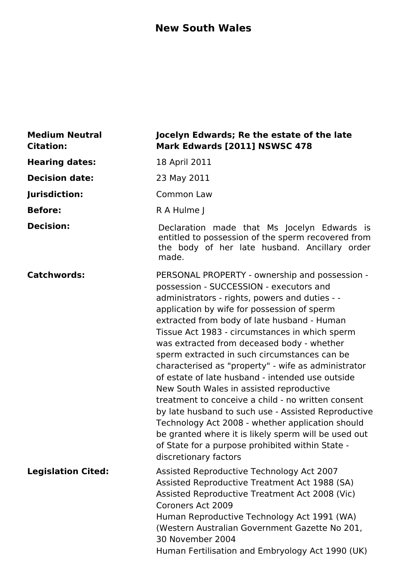### **New South Wales**

| <b>Medium Neutral</b><br><b>Citation:</b> | Jocelyn Edwards; Re the estate of the late<br>Mark Edwards [2011] NSWSC 478                                                                                                                                                                                                                                                                                                                                                                                                                                                                                                                                                                                                                                                                                                                                                                            |
|-------------------------------------------|--------------------------------------------------------------------------------------------------------------------------------------------------------------------------------------------------------------------------------------------------------------------------------------------------------------------------------------------------------------------------------------------------------------------------------------------------------------------------------------------------------------------------------------------------------------------------------------------------------------------------------------------------------------------------------------------------------------------------------------------------------------------------------------------------------------------------------------------------------|
| <b>Hearing dates:</b>                     | 18 April 2011                                                                                                                                                                                                                                                                                                                                                                                                                                                                                                                                                                                                                                                                                                                                                                                                                                          |
| <b>Decision date:</b>                     | 23 May 2011                                                                                                                                                                                                                                                                                                                                                                                                                                                                                                                                                                                                                                                                                                                                                                                                                                            |
| Jurisdiction:                             | Common Law                                                                                                                                                                                                                                                                                                                                                                                                                                                                                                                                                                                                                                                                                                                                                                                                                                             |
| <b>Before:</b>                            | R A Hulme J                                                                                                                                                                                                                                                                                                                                                                                                                                                                                                                                                                                                                                                                                                                                                                                                                                            |
| <b>Decision:</b>                          | Declaration made that Ms Jocelyn Edwards is<br>entitled to possession of the sperm recovered from<br>the body of her late husband. Ancillary order<br>made.                                                                                                                                                                                                                                                                                                                                                                                                                                                                                                                                                                                                                                                                                            |
| <b>Catchwords:</b>                        | PERSONAL PROPERTY - ownership and possession -<br>possession - SUCCESSION - executors and<br>administrators - rights, powers and duties - -<br>application by wife for possession of sperm<br>extracted from body of late husband - Human<br>Tissue Act 1983 - circumstances in which sperm<br>was extracted from deceased body - whether<br>sperm extracted in such circumstances can be<br>characterised as "property" - wife as administrator<br>of estate of late husband - intended use outside<br>New South Wales in assisted reproductive<br>treatment to conceive a child - no written consent<br>by late husband to such use - Assisted Reproductive<br>Technology Act 2008 - whether application should<br>be granted where it is likely sperm will be used out<br>of State for a purpose prohibited within State -<br>discretionary factors |
| <b>Legislation Cited:</b>                 | Assisted Reproductive Technology Act 2007<br>Assisted Reproductive Treatment Act 1988 (SA)<br>Assisted Reproductive Treatment Act 2008 (Vic)<br><b>Coroners Act 2009</b><br>Human Reproductive Technology Act 1991 (WA)<br>(Western Australian Government Gazette No 201,<br>30 November 2004<br>Human Fertilisation and Embryology Act 1990 (UK)                                                                                                                                                                                                                                                                                                                                                                                                                                                                                                      |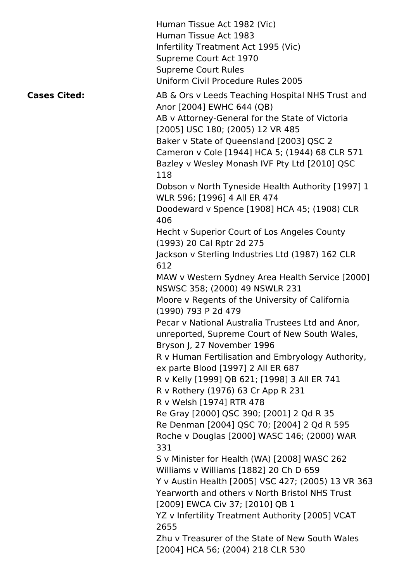|                     | Human Tissue Act 1982 (Vic)<br>Human Tissue Act 1983<br>Infertility Treatment Act 1995 (Vic)<br>Supreme Court Act 1970<br><b>Supreme Court Rules</b><br>Uniform Civil Procedure Rules 2005                                                                                                                                 |
|---------------------|----------------------------------------------------------------------------------------------------------------------------------------------------------------------------------------------------------------------------------------------------------------------------------------------------------------------------|
| <b>Cases Cited:</b> | AB & Ors v Leeds Teaching Hospital NHS Trust and<br>Anor [2004] EWHC 644 (QB)<br>AB v Attorney-General for the State of Victoria<br>[2005] USC 180; (2005) 12 VR 485<br>Baker v State of Queensland [2003] QSC 2<br>Cameron v Cole [1944] HCA 5; (1944) 68 CLR 571<br>Bazley v Wesley Monash IVF Pty Ltd [2010] QSC<br>118 |
|                     | Dobson v North Tyneside Health Authority [1997] 1                                                                                                                                                                                                                                                                          |
|                     | WLR 596; [1996] 4 All ER 474<br>Doodeward v Spence [1908] HCA 45; (1908) CLR                                                                                                                                                                                                                                               |
|                     | 406                                                                                                                                                                                                                                                                                                                        |
|                     | Hecht v Superior Court of Los Angeles County                                                                                                                                                                                                                                                                               |
|                     | (1993) 20 Cal Rptr 2d 275                                                                                                                                                                                                                                                                                                  |
|                     | Jackson v Sterling Industries Ltd (1987) 162 CLR<br>612                                                                                                                                                                                                                                                                    |
|                     | MAW v Western Sydney Area Health Service [2000]<br>NSWSC 358; (2000) 49 NSWLR 231                                                                                                                                                                                                                                          |
|                     | Moore v Regents of the University of California<br>(1990) 793 P 2d 479                                                                                                                                                                                                                                                     |
|                     | Pecar v National Australia Trustees Ltd and Anor,<br>unreported, Supreme Court of New South Wales,<br>Bryson J, 27 November 1996                                                                                                                                                                                           |
|                     | R v Human Fertilisation and Embryology Authority,<br>ex parte Blood [1997] 2 All ER 687                                                                                                                                                                                                                                    |
|                     | R v Kelly [1999] QB 621; [1998] 3 All ER 741                                                                                                                                                                                                                                                                               |
|                     | R v Rothery (1976) 63 Cr App R 231                                                                                                                                                                                                                                                                                         |
|                     | R v Welsh [1974] RTR 478                                                                                                                                                                                                                                                                                                   |
|                     | Re Gray [2000] QSC 390; [2001] 2 Qd R 35<br>Re Denman [2004] QSC 70; [2004] 2 Qd R 595                                                                                                                                                                                                                                     |
|                     | Roche v Douglas [2000] WASC 146; (2000) WAR<br>331                                                                                                                                                                                                                                                                         |
|                     | S v Minister for Health (WA) [2008] WASC 262                                                                                                                                                                                                                                                                               |
|                     | Williams v Williams [1882] 20 Ch D 659<br>Y v Austin Health [2005] VSC 427; (2005) 13 VR 363                                                                                                                                                                                                                               |
|                     | Yearworth and others y North Bristol NHS Trust                                                                                                                                                                                                                                                                             |
|                     | [2009] EWCA Civ 37; [2010] QB 1                                                                                                                                                                                                                                                                                            |
|                     | YZ v Infertility Treatment Authority [2005] VCAT<br>2655                                                                                                                                                                                                                                                                   |
|                     | Zhu v Treasurer of the State of New South Wales<br>[2004] HCA 56; (2004) 218 CLR 530                                                                                                                                                                                                                                       |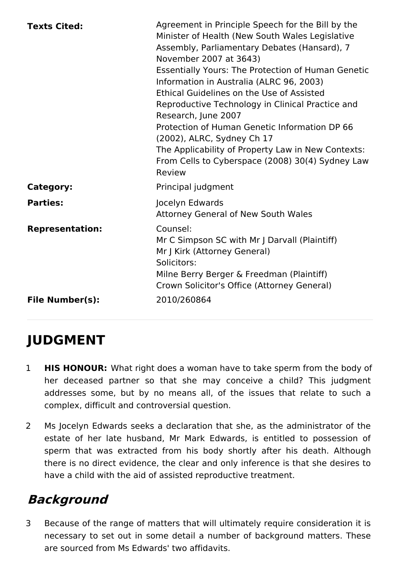| <b>Texts Cited:</b>                              | Agreement in Principle Speech for the Bill by the<br>Minister of Health (New South Wales Legislative<br>Assembly, Parliamentary Debates (Hansard), 7<br>November 2007 at 3643)<br><b>Essentially Yours: The Protection of Human Genetic</b><br>Information in Australia (ALRC 96, 2003)<br>Ethical Guidelines on the Use of Assisted<br>Reproductive Technology in Clinical Practice and<br>Research, June 2007<br>Protection of Human Genetic Information DP 66<br>(2002), ALRC, Sydney Ch 17<br>The Applicability of Property Law in New Contexts:<br>From Cells to Cyberspace (2008) 30(4) Sydney Law<br>Review |
|--------------------------------------------------|--------------------------------------------------------------------------------------------------------------------------------------------------------------------------------------------------------------------------------------------------------------------------------------------------------------------------------------------------------------------------------------------------------------------------------------------------------------------------------------------------------------------------------------------------------------------------------------------------------------------|
| Category:                                        | Principal judgment                                                                                                                                                                                                                                                                                                                                                                                                                                                                                                                                                                                                 |
| <b>Parties:</b>                                  | Jocelyn Edwards<br><b>Attorney General of New South Wales</b>                                                                                                                                                                                                                                                                                                                                                                                                                                                                                                                                                      |
| <b>Representation:</b><br><b>File Number(s):</b> | Counsel:<br>Mr C Simpson SC with Mr J Darvall (Plaintiff)<br>Mr J Kirk (Attorney General)<br>Solicitors:<br>Milne Berry Berger & Freedman (Plaintiff)<br>Crown Solicitor's Office (Attorney General)<br>2010/260864                                                                                                                                                                                                                                                                                                                                                                                                |
|                                                  |                                                                                                                                                                                                                                                                                                                                                                                                                                                                                                                                                                                                                    |

# **JUDGMENT**

- 1 **HIS HONOUR:** What right does a woman have to take sperm from the body of her deceased partner so that she may conceive a child? This judgment addresses some, but by no means all, of the issues that relate to such a complex, difficult and controversial question.
- 2 Ms Jocelyn Edwards seeks a declaration that she, as the administrator of the estate of her late husband, Mr Mark Edwards, is entitled to possession of sperm that was extracted from his body shortly after his death. Although there is no direct evidence, the clear and only inference is that she desires to have a child with the aid of assisted reproductive treatment.

# **Background**

3 Because of the range of matters that will ultimately require consideration it is necessary to set out in some detail a number of background matters. These are sourced from Ms Edwards' two affidavits.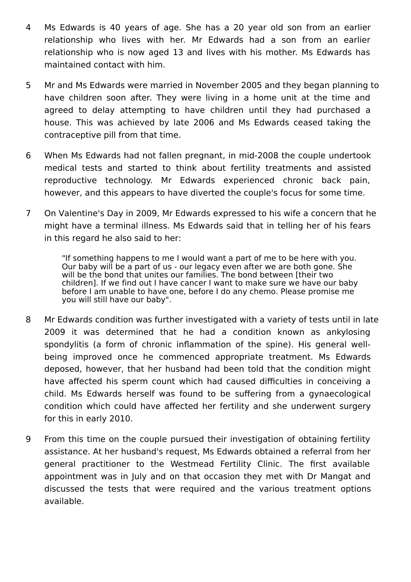- 4 Ms Edwards is 40 years of age. She has a 20 year old son from an earlier relationship who lives with her. Mr Edwards had a son from an earlier relationship who is now aged 13 and lives with his mother. Ms Edwards has maintained contact with him.
- 5 Mr and Ms Edwards were married in November 2005 and they began planning to have children soon after. They were living in a home unit at the time and agreed to delay attempting to have children until they had purchased a house. This was achieved by late 2006 and Ms Edwards ceased taking the contraceptive pill from that time.
- 6 When Ms Edwards had not fallen pregnant, in mid-2008 the couple undertook medical tests and started to think about fertility treatments and assisted reproductive technology. Mr Edwards experienced chronic back pain, however, and this appears to have diverted the couple's focus for some time.
- 7 On Valentine's Day in 2009, Mr Edwards expressed to his wife a concern that he might have a terminal illness. Ms Edwards said that in telling her of his fears in this regard he also said to her:

"If something happens to me I would want a part of me to be here with you. Our baby will be a part of us - our legacy even after we are both gone. She will be the bond that unites our families. The bond between [their two children]. If we find out I have cancer I want to make sure we have our baby before I am unable to have one, before I do any chemo. Please promise me you will still have our baby".

- 8 Mr Edwards condition was further investigated with a variety of tests until in late 2009 it was determined that he had a condition known as ankylosing spondylitis (a form of chronic inflammation of the spine). His general wellbeing improved once he commenced appropriate treatment. Ms Edwards deposed, however, that her husband had been told that the condition might have affected his sperm count which had caused difficulties in conceiving a child. Ms Edwards herself was found to be suffering from a gynaecological condition which could have affected her fertility and she underwent surgery for this in early 2010.
- 9 From this time on the couple pursued their investigation of obtaining fertility assistance. At her husband's request, Ms Edwards obtained a referral from her general practitioner to the Westmead Fertility Clinic. The first available appointment was in July and on that occasion they met with Dr Mangat and discussed the tests that were required and the various treatment options available.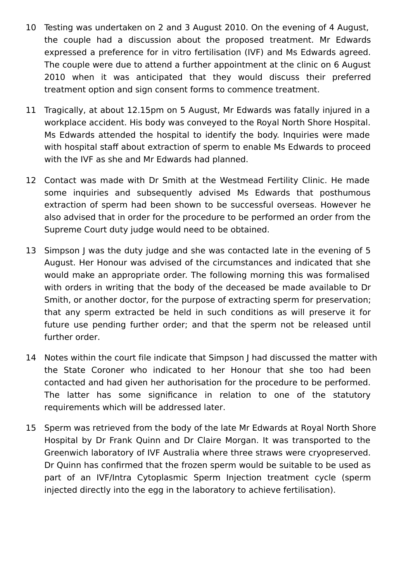- 10 Testing was undertaken on 2 and 3 August 2010. On the evening of 4 August, the couple had a discussion about the proposed treatment. Mr Edwards expressed a preference for in vitro fertilisation (IVF) and Ms Edwards agreed. The couple were due to attend a further appointment at the clinic on 6 August 2010 when it was anticipated that they would discuss their preferred treatment option and sign consent forms to commence treatment.
- 11 Tragically, at about 12.15pm on 5 August, Mr Edwards was fatally injured in a workplace accident. His body was conveyed to the Royal North Shore Hospital. Ms Edwards attended the hospital to identify the body. Inquiries were made with hospital staff about extraction of sperm to enable Ms Edwards to proceed with the IVF as she and Mr Edwards had planned.
- 12 Contact was made with Dr Smith at the Westmead Fertility Clinic. He made some inquiries and subsequently advised Ms Edwards that posthumous extraction of sperm had been shown to be successful overseas. However he also advised that in order for the procedure to be performed an order from the Supreme Court duty judge would need to be obtained.
- 13 Simpson J was the duty judge and she was contacted late in the evening of 5 August. Her Honour was advised of the circumstances and indicated that she would make an appropriate order. The following morning this was formalised with orders in writing that the body of the deceased be made available to Dr Smith, or another doctor, for the purpose of extracting sperm for preservation; that any sperm extracted be held in such conditions as will preserve it for future use pending further order; and that the sperm not be released until further order.
- 14 Notes within the court file indicate that Simpson J had discussed the matter with the State Coroner who indicated to her Honour that she too had been contacted and had given her authorisation for the procedure to be performed. The latter has some significance in relation to one of the statutory requirements which will be addressed later.
- 15 Sperm was retrieved from the body of the late Mr Edwards at Royal North Shore Hospital by Dr Frank Quinn and Dr Claire Morgan. It was transported to the Greenwich laboratory of IVF Australia where three straws were cryopreserved. Dr Quinn has confirmed that the frozen sperm would be suitable to be used as part of an IVF/Intra Cytoplasmic Sperm Injection treatment cycle (sperm injected directly into the egg in the laboratory to achieve fertilisation).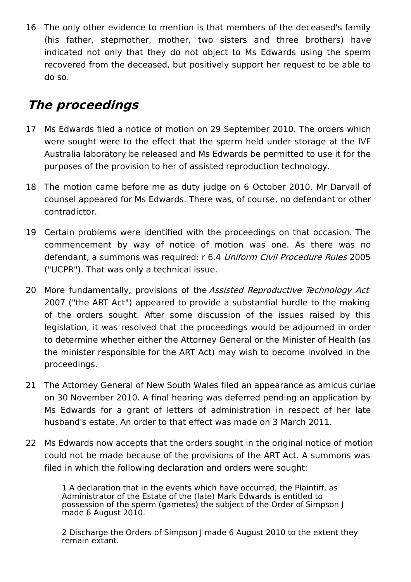16 The only other evidence to mention is that members of the deceased's family (his father, stepmother, mother, two sisters and three brothers) have indicated not only that they do not object to Ms Edwards using the sperm recovered from the deceased, but positively support her request to be able to do so.

## **The proceedings**

- 17 Ms Edwards filed a notice of motion on 29 September 2010. The orders which were sought were to the effect that the sperm held under storage at the IVF Australia laboratory be released and Ms Edwards be permitted to use it for the purposes of the provision to her of assisted reproduction technology.
- 18 The motion came before me as duty judge on 6 October 2010. Mr Darvall of counsel appeared for Ms Edwards. There was, of course, no defendant or other contradictor.
- 19 Certain problems were identified with the proceedings on that occasion. The commencement by way of notice of motion was one. As there was no defendant, a summons was required: r 6.4 Uniform Civil Procedure Rules 2005 ("UCPR"). That was only a technical issue.
- 20 More fundamentally, provisions of the Assisted Reproductive Technology Act 2007 ("the ART Act") appeared to provide a substantial hurdle to the making of the orders sought. After some discussion of the issues raised by this legislation, it was resolved that the proceedings would be adjourned in order to determine whether either the Attorney General or the Minister of Health (as the minister responsible for the ART Act) may wish to become involved in the proceedings.
- 21 The Attorney General of New South Wales filed an appearance as amicus curiae on 30 November 2010. A final hearing was deferred pending an application by Ms Edwards for a grant of letters of administration in respect of her late husband's estate. An order to that effect was made on 3 March 2011.
- 22 Ms Edwards now accepts that the orders sought in the original notice of motion could not be made because of the provisions of the ART Act. A summons was filed in which the following declaration and orders were sought:

1 A declaration that in the events which have occurred, the Plaintiff, as Administrator of the Estate of the (late) Mark Edwards is entitled to possession of the sperm (gametes) the subject of the Order of Simpson J made 6 August 2010.

2 Discharge the Orders of Simpson J made 6 August 2010 to the extent they remain extant.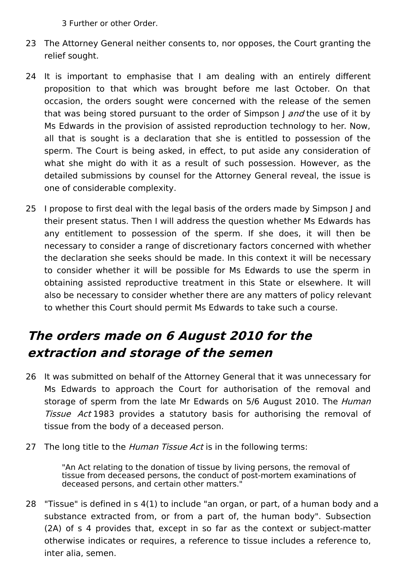3 Further or other Order.

- 23 The Attorney General neither consents to, nor opposes, the Court granting the relief sought.
- 24 It is important to emphasise that I am dealing with an entirely different proposition to that which was brought before me last October. On that occasion, the orders sought were concerned with the release of the semen that was being stored pursuant to the order of Simpson I and the use of it by Ms Edwards in the provision of assisted reproduction technology to her. Now, all that is sought is a declaration that she is entitled to possession of the sperm. The Court is being asked, in effect, to put aside any consideration of what she might do with it as a result of such possession. However, as the detailed submissions by counsel for the Attorney General reveal, the issue is one of considerable complexity.
- 25 I propose to first deal with the legal basis of the orders made by Simpson J and their present status. Then I will address the question whether Ms Edwards has any entitlement to possession of the sperm. If she does, it will then be necessary to consider a range of discretionary factors concerned with whether the declaration she seeks should be made. In this context it will be necessary to consider whether it will be possible for Ms Edwards to use the sperm in obtaining assisted reproductive treatment in this State or elsewhere. It will also be necessary to consider whether there are any matters of policy relevant to whether this Court should permit Ms Edwards to take such a course.

# **The orders made on 6 August 2010 for the extraction and storage of the semen**

- 26 It was submitted on behalf of the Attorney General that it was unnecessary for Ms Edwards to approach the Court for authorisation of the removal and storage of sperm from the late Mr Edwards on 5/6 August 2010. The *Human* Tissue Act 1983 provides a statutory basis for authorising the removal of tissue from the body of a deceased person.
- 27 The long title to the *Human Tissue Act* is in the following terms:

"An Act relating to the donation of tissue by living persons, the removal of tissue from deceased persons, the conduct of post-mortem examinations of deceased persons, and certain other matters."

28 "Tissue" is defined in s 4(1) to include "an organ, or part, of a human body and a substance extracted from, or from a part of, the human body". Subsection (2A) of s 4 provides that, except in so far as the context or subject-matter otherwise indicates or requires, a reference to tissue includes a reference to, inter alia, semen.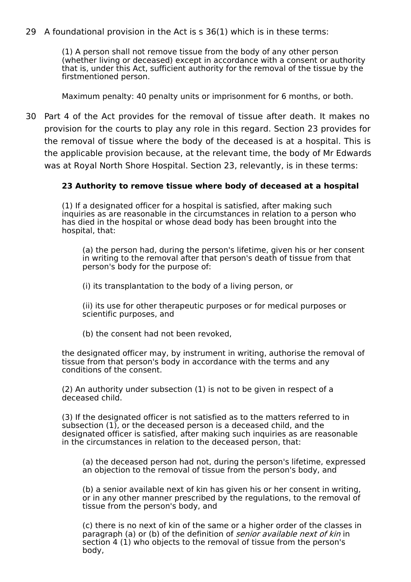29 A foundational provision in the Act is s 36(1) which is in these terms:

(1) A person shall not remove tissue from the body of any other person (whether living or deceased) except in accordance with a consent or authority that is, under this Act, sufficient authority for the removal of the tissue by the firstmentioned person.

Maximum penalty: 40 penalty units or imprisonment for 6 months, or both.

30 Part 4 of the Act provides for the removal of tissue after death. It makes no provision for the courts to play any role in this regard. Section 23 provides for the removal of tissue where the body of the deceased is at a hospital. This is the applicable provision because, at the relevant time, the body of Mr Edwards was at Royal North Shore Hospital. Section 23, relevantly, is in these terms:

#### **23 Authority to remove tissue where body of deceased at a hospital**

(1) If a designated officer for a hospital is satisfied, after making such inquiries as are reasonable in the circumstances in relation to a person who has died in the hospital or whose dead body has been brought into the hospital, that:

(a) the person had, during the person's lifetime, given his or her consent in writing to the removal after that person's death of tissue from that person's body for the purpose of:

(i) its transplantation to the body of a living person, or

(ii) its use for other therapeutic purposes or for medical purposes or scientific purposes, and

(b) the consent had not been revoked,

the designated officer may, by instrument in writing, authorise the removal of tissue from that person's body in accordance with the terms and any conditions of the consent.

(2) An authority under subsection (1) is not to be given in respect of a deceased child.

(3) If the designated officer is not satisfied as to the matters referred to in subsection (1), or the deceased person is a deceased child, and the designated officer is satisfied, after making such inquiries as are reasonable in the circumstances in relation to the deceased person, that:

(a) the deceased person had not, during the person's lifetime, expressed an objection to the removal of tissue from the person's body, and

(b) a senior available next of kin has given his or her consent in writing, or in any other manner prescribed by the regulations, to the removal of tissue from the person's body, and

(c) there is no next of kin of the same or a higher order of the classes in paragraph (a) or (b) of the definition of *senior available next of kin* in section 4 (1) who objects to the removal of tissue from the person's body,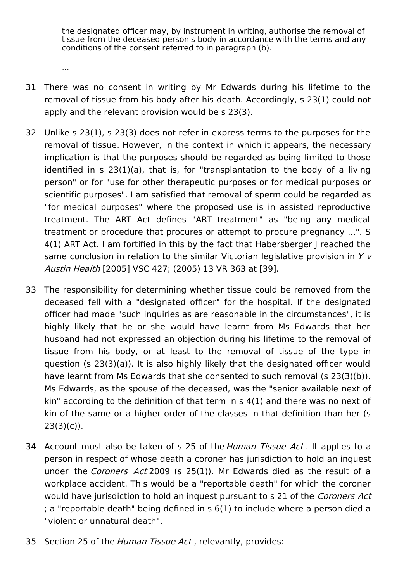the designated officer may, by instrument in writing, authorise the removal of tissue from the deceased person's body in accordance with the terms and any conditions of the consent referred to in paragraph (b).

31 There was no consent in writing by Mr Edwards during his lifetime to the removal of tissue from his body after his death. Accordingly, s 23(1) could not apply and the relevant provision would be s 23(3).

...

- 32 Unlike s 23(1), s 23(3) does not refer in express terms to the purposes for the removal of tissue. However, in the context in which it appears, the necessary implication is that the purposes should be regarded as being limited to those identified in s 23(1)(a), that is, for "transplantation to the body of a living person" or for "use for other therapeutic purposes or for medical purposes or scientific purposes". I am satisfied that removal of sperm could be regarded as "for medical purposes" where the proposed use is in assisted reproductive treatment. The ART Act defines "ART treatment" as "being any medical treatment or procedure that procures or attempt to procure pregnancy ...". S 4(1) ART Act. I am fortified in this by the fact that Habersberger J reached the same conclusion in relation to the similar Victorian legislative provision in  $Y$   $V$ Austin Health [2005] VSC 427; (2005) 13 VR 363 at [39].
- 33 The responsibility for determining whether tissue could be removed from the deceased fell with a "designated officer" for the hospital. If the designated officer had made "such inquiries as are reasonable in the circumstances", it is highly likely that he or she would have learnt from Ms Edwards that her husband had not expressed an objection during his lifetime to the removal of tissue from his body, or at least to the removal of tissue of the type in question (s 23(3)(a)). It is also highly likely that the designated officer would have learnt from Ms Edwards that she consented to such removal (s 23(3)(b)). Ms Edwards, as the spouse of the deceased, was the "senior available next of kin" according to the definition of that term in s 4(1) and there was no next of kin of the same or a higher order of the classes in that definition than her (s  $23(3)(c)$ ).
- 34 Account must also be taken of s 25 of the Human Tissue Act. It applies to a person in respect of whose death a coroner has jurisdiction to hold an inquest under the Coroners Act 2009 (s 25(1)). Mr Edwards died as the result of a workplace accident. This would be a "reportable death" for which the coroner would have jurisdiction to hold an inquest pursuant to s 21 of the Coroners Act ; a "reportable death" being defined in s 6(1) to include where a person died a "violent or unnatural death".
- 35 Section 25 of the *Human Tissue Act*, relevantly, provides: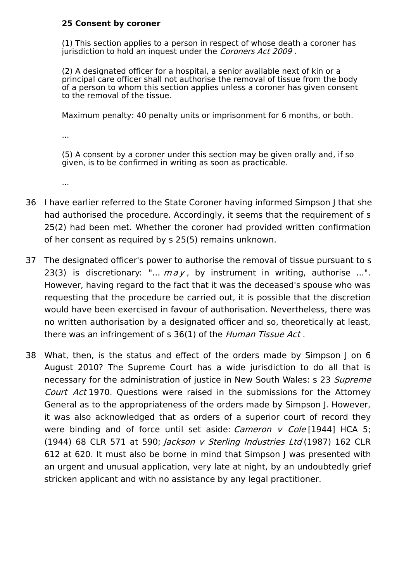#### **25 Consent by coroner**

(1) This section applies to a person in respect of whose death a coroner has jurisdiction to hold an inquest under the Coroners Act 2009.

(2) A designated officer for a hospital, a senior available next of kin or a principal care officer shall not authorise the removal of tissue from the body of a person to whom this section applies unless a coroner has given consent to the removal of the tissue.

Maximum penalty: 40 penalty units or imprisonment for 6 months, or both.

...

(5) A consent by a coroner under this section may be given orally and, if so given, is to be confirmed in writing as soon as practicable.

...

- 36 I have earlier referred to the State Coroner having informed Simpson J that she had authorised the procedure. Accordingly, it seems that the requirement of s 25(2) had been met. Whether the coroner had provided written confirmation of her consent as required by s 25(5) remains unknown.
- 37 The designated officer's power to authorise the removal of tissue pursuant to s 23(3) is discretionary: "...  $may$ , by instrument in writing, authorise ...". However, having regard to the fact that it was the deceased's spouse who was requesting that the procedure be carried out, it is possible that the discretion would have been exercised in favour of authorisation. Nevertheless, there was no written authorisation by a designated officer and so, theoretically at least, there was an infringement of s 36(1) of the Human Tissue Act.
- 38 What, then, is the status and effect of the orders made by Simpson J on 6 August 2010? The Supreme Court has a wide jurisdiction to do all that is necessary for the administration of justice in New South Wales: s 23 Supreme Court Act 1970. Questions were raised in the submissions for the Attorney General as to the appropriateness of the orders made by Simpson J. However, it was also acknowledged that as orders of a superior court of record they were binding and of force until set aside: Cameron  $v$  Cole [1944] HCA 5; (1944) 68 CLR 571 at 590; Jackson <sup>v</sup> Sterling Industries Ltd (1987) 162 CLR 612 at 620. It must also be borne in mind that Simpson J was presented with an urgent and unusual application, very late at night, by an undoubtedly grief stricken applicant and with no assistance by any legal practitioner.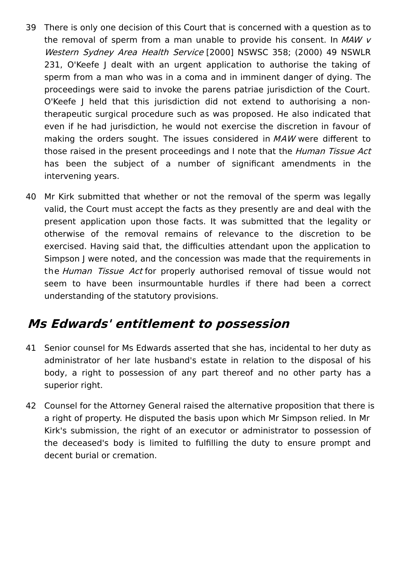- 39 There is only one decision of this Court that is concerned with a question as to the removal of sperm from a man unable to provide his consent. In  $MAW$   $V$ Western Sydney Area Health Service [2000] NSWSC 358; (2000) 49 NSWLR 231, O'Keefe I dealt with an urgent application to authorise the taking of sperm from a man who was in a coma and in imminent danger of dying. The proceedings were said to invoke the parens patriae jurisdiction of the Court. O'Keefe J held that this jurisdiction did not extend to authorising a nontherapeutic surgical procedure such as was proposed. He also indicated that even if he had jurisdiction, he would not exercise the discretion in favour of making the orders sought. The issues considered in MAW were different to those raised in the present proceedings and I note that the *Human Tissue Act* has been the subject of a number of significant amendments in the intervening years.
- 40 Mr Kirk submitted that whether or not the removal of the sperm was legally valid, the Court must accept the facts as they presently are and deal with the present application upon those facts. It was submitted that the legality or otherwise of the removal remains of relevance to the discretion to be exercised. Having said that, the difficulties attendant upon the application to Simpson J were noted, and the concession was made that the requirements in the Human Tissue Act for properly authorised removal of tissue would not seem to have been insurmountable hurdles if there had been a correct understanding of the statutory provisions.

### **Ms Edwards' entitlement to possession**

- 41 Senior counsel for Ms Edwards asserted that she has, incidental to her duty as administrator of her late husband's estate in relation to the disposal of his body, a right to possession of any part thereof and no other party has a superior right.
- 42 Counsel for the Attorney General raised the alternative proposition that there is a right of property. He disputed the basis upon which Mr Simpson relied. In Mr Kirk's submission, the right of an executor or administrator to possession of the deceased's body is limited to fulfilling the duty to ensure prompt and decent burial or cremation.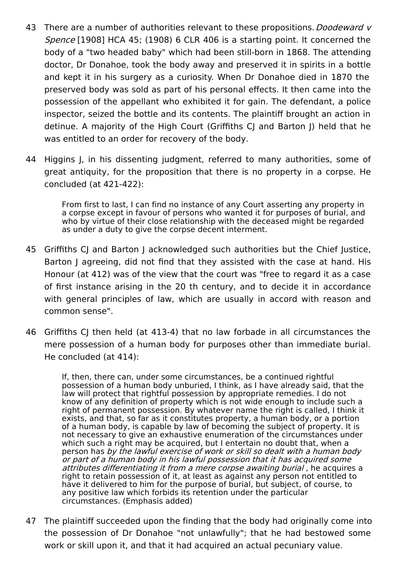- 43 There are a number of authorities relevant to these propositions. *Doodeward v* Spence [1908] HCA 45; (1908) 6 CLR 406 is a starting point. It concerned the body of a "two headed baby" which had been still-born in 1868. The attending doctor, Dr Donahoe, took the body away and preserved it in spirits in a bottle and kept it in his surgery as a curiosity. When Dr Donahoe died in 1870 the preserved body was sold as part of his personal effects. It then came into the possession of the appellant who exhibited it for gain. The defendant, a police inspector, seized the bottle and its contents. The plaintiff brought an action in detinue. A majority of the High Court (Griffiths CJ and Barton I) held that he was entitled to an order for recovery of the body.
- 44 Higgins J, in his dissenting judgment, referred to many authorities, some of great antiquity, for the proposition that there is no property in a corpse. He concluded (at 421-422):

From first to last, I can find no instance of any Court asserting any property in a corpse except in favour of persons who wanted it for purposes of burial, and who by virtue of their close relationship with the deceased might be regarded as under a duty to give the corpse decent interment.

- 45 Griffiths CJ and Barton J acknowledged such authorities but the Chief Justice, Barton J agreeing, did not find that they assisted with the case at hand. His Honour (at 412) was of the view that the court was "free to regard it as a case of first instance arising in the 20 th century, and to decide it in accordance with general principles of law, which are usually in accord with reason and common sense".
- 46 Griffiths CJ then held (at 413-4) that no law forbade in all circumstances the mere possession of a human body for purposes other than immediate burial. He concluded (at 414):

If, then, there can, under some circumstances, be a continued rightful possession of a human body unburied, I think, as I have already said, that the law will protect that rightful possession by appropriate remedies. I do not know of any definition of property which is not wide enough to include such a right of permanent possession. By whatever name the right is called, I think it exists, and that, so far as it constitutes property, a human body, or a portion of a human body, is capable by law of becoming the subject of property. It is not necessary to give an exhaustive enumeration of the circumstances under which such a right may be acquired, but I entertain no doubt that, when a person has by the lawful exercise of work or skill so dealt with <sup>a</sup> human body or part of <sup>a</sup> human body in his lawful possession that it has acquired some attributes differentiating it from <sup>a</sup> mere corpse awaiting burial , he acquires a right to retain possession of it, at least as against any person not entitled to have it delivered to him for the purpose of burial, but subject, of course, to any positive law which forbids its retention under the particular circumstances. (Emphasis added)

47 The plaintiff succeeded upon the finding that the body had originally come into the possession of Dr Donahoe "not unlawfully"; that he had bestowed some work or skill upon it, and that it had acquired an actual pecuniary value.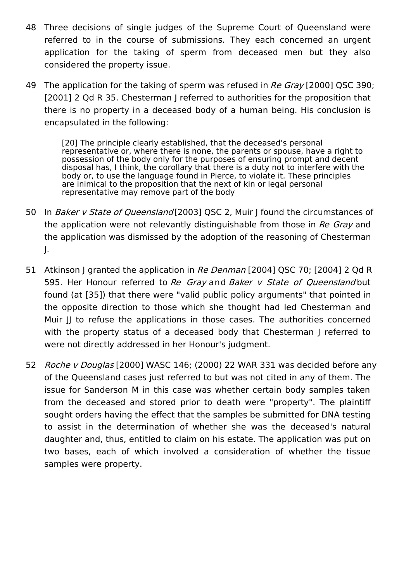- 48 Three decisions of single judges of the Supreme Court of Queensland were referred to in the course of submissions. They each concerned an urgent application for the taking of sperm from deceased men but they also considered the property issue.
- 49 The application for the taking of sperm was refused in Re Gray [2000] QSC 390; [2001] 2 Qd R 35. Chesterman J referred to authorities for the proposition that there is no property in a deceased body of a human being. His conclusion is encapsulated in the following:

[20] The principle clearly established, that the deceased's personal representative or, where there is none, the parents or spouse, have a right to possession of the body only for the purposes of ensuring prompt and decent disposal has, I think, the corollary that there is a duty not to interfere with the body or, to use the language found in Pierce, to violate it. These principles are inimical to the proposition that the next of kin or legal personal representative may remove part of the body

- 50 In Baker v State of Queensland [2003] QSC 2, Muir J found the circumstances of the application were not relevantly distinguishable from those in Re Gray and the application was dismissed by the adoption of the reasoning of Chesterman J.
- 51 Atkinson J granted the application in *Re Denman* [2004] QSC 70; [2004] 2 Qd R 595. Her Honour referred to Re Gray and Baker v State of Queensland but found (at [35]) that there were "valid public policy arguments" that pointed in the opposite direction to those which she thought had led Chesterman and Muir II to refuse the applications in those cases. The authorities concerned with the property status of a deceased body that Chesterman J referred to were not directly addressed in her Honour's judgment.
- 52 Roche v Douglas [2000] WASC 146; (2000) 22 WAR 331 was decided before any of the Queensland cases just referred to but was not cited in any of them. The issue for Sanderson M in this case was whether certain body samples taken from the deceased and stored prior to death were "property". The plaintiff sought orders having the effect that the samples be submitted for DNA testing to assist in the determination of whether she was the deceased's natural daughter and, thus, entitled to claim on his estate. The application was put on two bases, each of which involved a consideration of whether the tissue samples were property.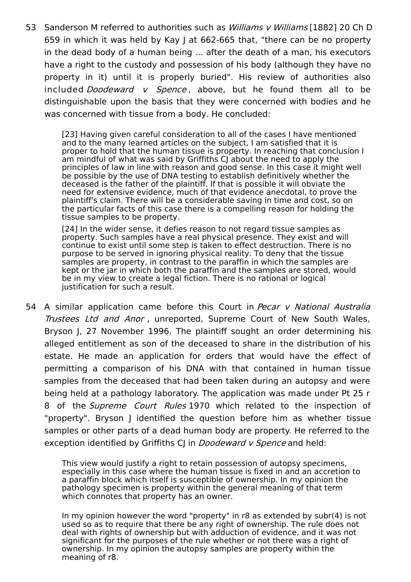53 Sanderson M referred to authorities such as *Williams v Williams* [1882] 20 Ch D 659 in which it was held by Kay J at 662-665 that, "there can be no property in the dead body of a human being ... after the death of a man, his executors have a right to the custody and possession of his body (although they have no property in it) until it is properly buried". His review of authorities also included *Doodeward v Spence*, above, but he found them all to be distinguishable upon the basis that they were concerned with bodies and he was concerned with tissue from a body. He concluded:

> [23] Having given careful consideration to all of the cases I have mentioned and to the many learned articles on the subject, I am satisfied that it is proper to hold that the human tissue is property. In reaching that conclusion I am mindful of what was said by Griffiths CJ about the need to apply the principles of law in line with reason and good sense. In this case it might well be possible by the use of DNA testing to establish definitively whether the deceased is the father of the plaintiff. If that is possible it will obviate the need for extensive evidence, much of that evidence anecdotal, to prove the plaintiff's claim. There will be a considerable saving in time and cost, so on the particular facts of this case there is a compelling reason for holding the tissue samples to be property.

[24] In the wider sense, it defies reason to not regard tissue samples as property. Such samples have a real physical presence. They exist and will continue to exist until some step is taken to effect destruction. There is no purpose to be served in ignoring physical reality. To deny that the tissue samples are property, in contrast to the paraffin in which the samples are kept or the jar in which both the paraffin and the samples are stored, would be in my view to create a legal fiction. There is no rational or logical justification for such a result.

54 A similar application came before this Court in Pecar v National Australia Trustees Ltd and Anor , unreported, Supreme Court of New South Wales, Bryson J, 27 November 1996. The plaintiff sought an order determining his alleged entitlement as son of the deceased to share in the distribution of his estate. He made an application for orders that would have the effect of permitting a comparison of his DNA with that contained in human tissue samples from the deceased that had been taken during an autopsy and were being held at a pathology laboratory. The application was made under Pt 25 r 8 of the Supreme Court Rules 1970 which related to the inspection of "property". Bryson J identified the question before him as whether tissue samples or other parts of a dead human body are property. He referred to the exception identified by Griffiths CI in *Doodeward v Spence* and held:

> This view would justify a right to retain possession of autopsy specimens, especially in this case where the human tissue is fixed in and an accretion to a paraffin block which itself is susceptible of ownership. In my opinion the pathology specimen is property within the general meaning of that term which connotes that property has an owner.

In my opinion however the word "property" in r8 as extended by subr(4) is not used so as to require that there be any right of ownership. The rule does not deal with rights of ownership but with adduction of evidence, and it was not significant for the purposes of the rule whether or not there was a right of ownership. In my opinion the autopsy samples are property within the meaning of r8.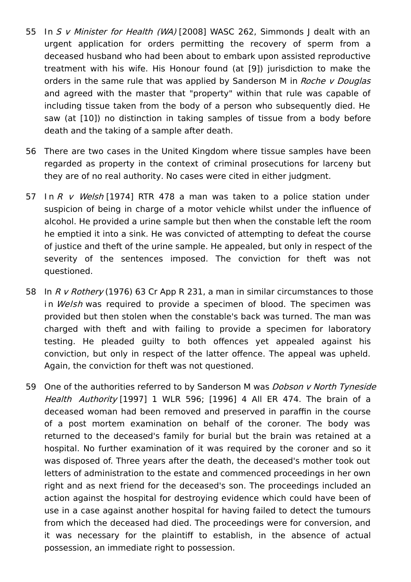- 55 In S v Minister for Health (WA) [2008] WASC 262, Simmonds J dealt with an urgent application for orders permitting the recovery of sperm from a deceased husband who had been about to embark upon assisted reproductive treatment with his wife. His Honour found (at [9]) jurisdiction to make the orders in the same rule that was applied by Sanderson M in Roche v Douglas and agreed with the master that "property" within that rule was capable of including tissue taken from the body of a person who subsequently died. He saw (at [10]) no distinction in taking samples of tissue from a body before death and the taking of a sample after death.
- 56 There are two cases in the United Kingdom where tissue samples have been regarded as property in the context of criminal prosecutions for larceny but they are of no real authority. No cases were cited in either judgment.
- 57 In R v Welsh [1974] RTR 478 a man was taken to a police station under suspicion of being in charge of a motor vehicle whilst under the influence of alcohol. He provided a urine sample but then when the constable left the room he emptied it into a sink. He was convicted of attempting to defeat the course of justice and theft of the urine sample. He appealed, but only in respect of the severity of the sentences imposed. The conviction for theft was not questioned.
- 58 In R v Rothery (1976) 63 Cr App R 231, a man in similar circumstances to those in Welsh was required to provide a specimen of blood. The specimen was provided but then stolen when the constable's back was turned. The man was charged with theft and with failing to provide a specimen for laboratory testing. He pleaded guilty to both offences yet appealed against his conviction, but only in respect of the latter offence. The appeal was upheld. Again, the conviction for theft was not questioned.
- 59 One of the authorities referred to by Sanderson M was *Dobson v North Tyneside* Health Authority [1997] 1 WLR 596; [1996] 4 All ER 474. The brain of a deceased woman had been removed and preserved in paraffin in the course of a post mortem examination on behalf of the coroner. The body was returned to the deceased's family for burial but the brain was retained at a hospital. No further examination of it was required by the coroner and so it was disposed of. Three years after the death, the deceased's mother took out letters of administration to the estate and commenced proceedings in her own right and as next friend for the deceased's son. The proceedings included an action against the hospital for destroying evidence which could have been of use in a case against another hospital for having failed to detect the tumours from which the deceased had died. The proceedings were for conversion, and it was necessary for the plaintiff to establish, in the absence of actual possession, an immediate right to possession.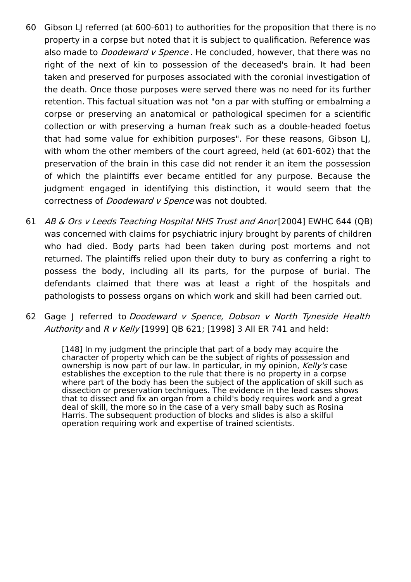- 60 Gibson LJ referred (at 600-601) to authorities for the proposition that there is no property in a corpse but noted that it is subject to qualification. Reference was also made to *Doodeward v Spence*. He concluded, however, that there was no right of the next of kin to possession of the deceased's brain. It had been taken and preserved for purposes associated with the coronial investigation of the death. Once those purposes were served there was no need for its further retention. This factual situation was not "on a par with stuffing or embalming a corpse or preserving an anatomical or pathological specimen for a scientific collection or with preserving a human freak such as a double-headed foetus that had some value for exhibition purposes". For these reasons, Gibson LJ, with whom the other members of the court agreed, held (at 601-602) that the preservation of the brain in this case did not render it an item the possession of which the plaintiffs ever became entitled for any purpose. Because the judgment engaged in identifying this distinction, it would seem that the correctness of *Doodeward v Spence* was not doubted.
- 61 AB & Ors v Leeds Teaching Hospital NHS Trust and Anor [2004] EWHC 644 (QB) was concerned with claims for psychiatric injury brought by parents of children who had died. Body parts had been taken during post mortems and not returned. The plaintiffs relied upon their duty to bury as conferring a right to possess the body, including all its parts, for the purpose of burial. The defendants claimed that there was at least a right of the hospitals and pathologists to possess organs on which work and skill had been carried out.
- 62 Gage J referred to Doodeward v Spence, Dobson v North Tyneside Health Authority and R v Kelly [1999] OB 621: [1998] 3 All ER 741 and held:

[148] In my judgment the principle that part of a body may acquire the character of property which can be the subject of rights of possession and ownership is now part of our law. In particular, in my opinion, Kelly's case establishes the exception to the rule that there is no property in a corpse where part of the body has been the subject of the application of skill such as dissection or preservation techniques. The evidence in the lead cases shows that to dissect and fix an organ from a child's body requires work and a great deal of skill, the more so in the case of a very small baby such as Rosina Harris. The subsequent production of blocks and slides is also a skilful operation requiring work and expertise of trained scientists.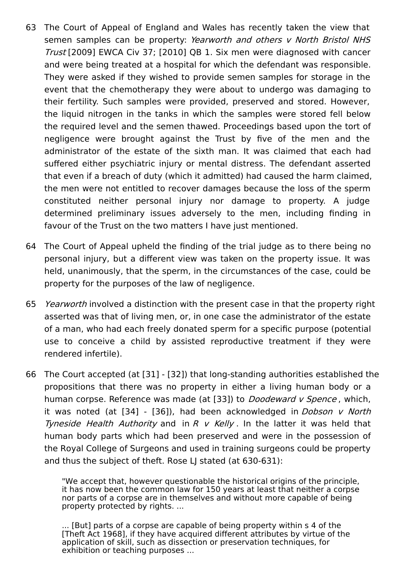- 63 The Court of Appeal of England and Wales has recently taken the view that semen samples can be property: Yearworth and others v North Bristol NHS Trust [2009] EWCA Civ 37; [2010] QB 1. Six men were diagnosed with cancer and were being treated at a hospital for which the defendant was responsible. They were asked if they wished to provide semen samples for storage in the event that the chemotherapy they were about to undergo was damaging to their fertility. Such samples were provided, preserved and stored. However, the liquid nitrogen in the tanks in which the samples were stored fell below the required level and the semen thawed. Proceedings based upon the tort of negligence were brought against the Trust by five of the men and the administrator of the estate of the sixth man. It was claimed that each had suffered either psychiatric injury or mental distress. The defendant asserted that even if a breach of duty (which it admitted) had caused the harm claimed, the men were not entitled to recover damages because the loss of the sperm constituted neither personal injury nor damage to property. A judge determined preliminary issues adversely to the men, including finding in favour of the Trust on the two matters I have just mentioned.
- 64 The Court of Appeal upheld the finding of the trial judge as to there being no personal injury, but a different view was taken on the property issue. It was held, unanimously, that the sperm, in the circumstances of the case, could be property for the purposes of the law of negligence.
- 65 Yearworth involved a distinction with the present case in that the property right asserted was that of living men, or, in one case the administrator of the estate of a man, who had each freely donated sperm for a specific purpose (potential use to conceive a child by assisted reproductive treatment if they were rendered infertile).
- 66 The Court accepted (at [31] [32]) that long-standing authorities established the propositions that there was no property in either a living human body or a human corpse. Reference was made (at [33]) to *Doodeward v Spence*, which, it was noted (at  $[34]$  -  $[36]$ ), had been acknowledged in *Dobson v North* Tyneside Health Authority and in R  $v$  Kelly. In the latter it was held that human body parts which had been preserved and were in the possession of the Royal College of Surgeons and used in training surgeons could be property and thus the subject of theft. Rose LJ stated (at 630-631):

"We accept that, however questionable the historical origins of the principle, it has now been the common law for 150 years at least that neither a corpse nor parts of a corpse are in themselves and without more capable of being property protected by rights. ...

... [But] parts of a corpse are capable of being property within s 4 of the [Theft Act 1968], if they have acquired different attributes by virtue of the application of skill, such as dissection or preservation techniques, for exhibition or teaching purposes ...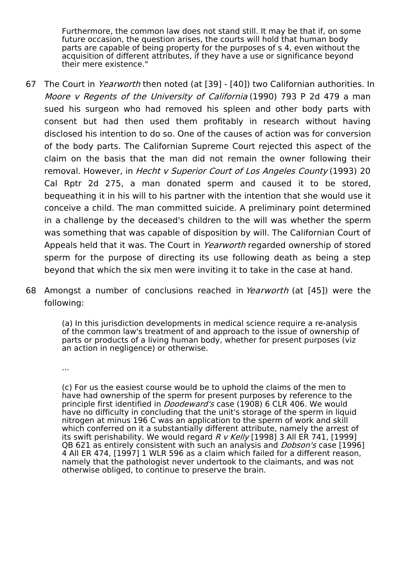Furthermore, the common law does not stand still. It may be that if, on some future occasion, the question arises, the courts will hold that human body parts are capable of being property for the purposes of s 4, even without the acquisition of different attributes, if they have a use or significance beyond their mere existence."

- 67 The Court in *Yearworth* then noted (at [39] [40]) two Californian authorities. In Moore v Regents of the University of California (1990) 793 P 2d 479 a man sued his surgeon who had removed his spleen and other body parts with consent but had then used them profitably in research without having disclosed his intention to do so. One of the causes of action was for conversion of the body parts. The Californian Supreme Court rejected this aspect of the claim on the basis that the man did not remain the owner following their removal. However, in Hecht v Superior Court of Los Angeles County (1993) 20 Cal Rptr 2d 275, a man donated sperm and caused it to be stored, bequeathing it in his will to his partner with the intention that she would use it conceive a child. The man committed suicide. A preliminary point determined in a challenge by the deceased's children to the will was whether the sperm was something that was capable of disposition by will. The Californian Court of Appeals held that it was. The Court in Yearworth regarded ownership of stored sperm for the purpose of directing its use following death as being a step beyond that which the six men were inviting it to take in the case at hand.
- 68 Amongst a number of conclusions reached in Yearworth (at [45]) were the following:

(a) In this jurisdiction developments in medical science require a re-analysis of the common law's treatment of and approach to the issue of ownership of parts or products of a living human body, whether for present purposes (viz an action in negligence) or otherwise.

...

(c) For us the easiest course would be to uphold the claims of the men to have had ownership of the sperm for present purposes by reference to the principle first identified in *Doodeward's* case (1908) 6 CLR 406. We would have no difficulty in concluding that the unit's storage of the sperm in liquid nitrogen at minus 196 C was an application to the sperm of work and skill which conferred on it a substantially different attribute, namely the arrest of its swift perishability. We would regard  $R$  v Kelly [1998] 3 All ER 741, [1999] OB 621 as entirely consistent with such an analysis and *Dobson's* case [1996] 4 All ER 474, [1997] 1 WLR 596 as a claim which failed for a different reason, namely that the pathologist never undertook to the claimants, and was not otherwise obliged, to continue to preserve the brain.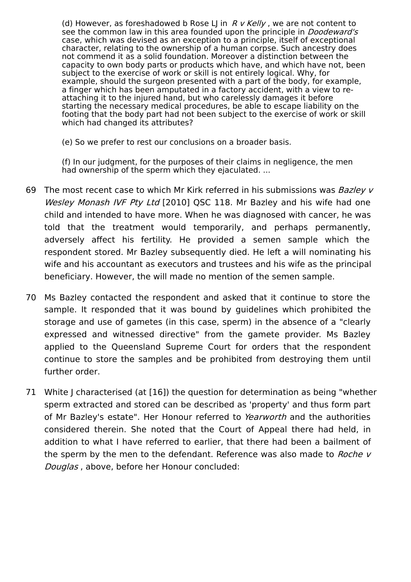(d) However, as foreshadowed b Rose LJ in  $R$  v Kelly, we are not content to see the common law in this area founded upon the principle in *Doodeward's* case, which was devised as an exception to a principle, itself of exceptional character, relating to the ownership of a human corpse. Such ancestry does not commend it as a solid foundation. Moreover a distinction between the capacity to own body parts or products which have, and which have not, been subject to the exercise of work or skill is not entirely logical. Why, for example, should the surgeon presented with a part of the body, for example, a finger which has been amputated in a factory accident, with a view to reattaching it to the injured hand, but who carelessly damages it before starting the necessary medical procedures, be able to escape liability on the footing that the body part had not been subject to the exercise of work or skill which had changed its attributes?

(e) So we prefer to rest our conclusions on a broader basis.

(f) In our judgment, for the purposes of their claims in negligence, the men had ownership of the sperm which they ejaculated. ...

- 69 The most recent case to which Mr Kirk referred in his submissions was Bazley v Wesley Monash IVF Pty Ltd [2010] OSC 118. Mr Bazley and his wife had one child and intended to have more. When he was diagnosed with cancer, he was told that the treatment would temporarily, and perhaps permanently, adversely affect his fertility. He provided a semen sample which the respondent stored. Mr Bazley subsequently died. He left a will nominating his wife and his accountant as executors and trustees and his wife as the principal beneficiary. However, the will made no mention of the semen sample.
- 70 Ms Bazley contacted the respondent and asked that it continue to store the sample. It responded that it was bound by guidelines which prohibited the storage and use of gametes (in this case, sperm) in the absence of a "clearly expressed and witnessed directive" from the gamete provider. Ms Bazley applied to the Queensland Supreme Court for orders that the respondent continue to store the samples and be prohibited from destroying them until further order.
- 71 White J characterised (at [16]) the question for determination as being "whether sperm extracted and stored can be described as 'property' and thus form part of Mr Bazley's estate". Her Honour referred to Yearworth and the authorities considered therein. She noted that the Court of Appeal there had held, in addition to what I have referred to earlier, that there had been a bailment of the sperm by the men to the defendant. Reference was also made to Roche v Douglas , above, before her Honour concluded: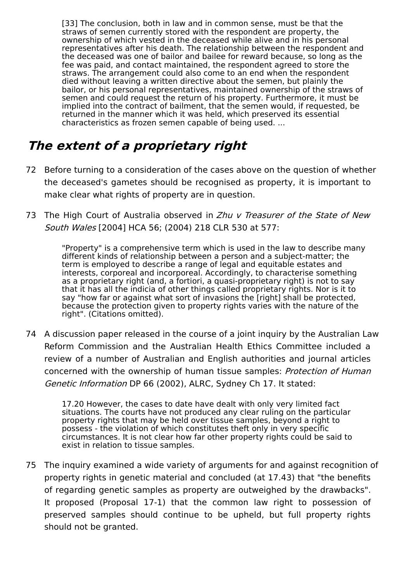[33] The conclusion, both in law and in common sense, must be that the straws of semen currently stored with the respondent are property, the ownership of which vested in the deceased while alive and in his personal representatives after his death. The relationship between the respondent and the deceased was one of bailor and bailee for reward because, so long as the fee was paid, and contact maintained, the respondent agreed to store the straws. The arrangement could also come to an end when the respondent died without leaving a written directive about the semen, but plainly the bailor, or his personal representatives, maintained ownership of the straws of semen and could request the return of his property. Furthermore, it must be implied into the contract of bailment, that the semen would, if requested, be returned in the manner which it was held, which preserved its essential characteristics as frozen semen capable of being used. ...

## **The extent of <sup>a</sup> proprietary right**

- 72 Before turning to a consideration of the cases above on the question of whether the deceased's gametes should be recognised as property, it is important to make clear what rights of property are in question.
- 73 The High Court of Australia observed in Zhu v Treasurer of the State of New South Wales [2004] HCA 56; (2004) 218 CLR 530 at 577:

"Property" is a comprehensive term which is used in the law to describe many different kinds of relationship between a person and a subject-matter; the term is employed to describe a range of legal and equitable estates and interests, corporeal and incorporeal. Accordingly, to characterise something as a proprietary right (and, a fortiori, a quasi-proprietary right) is not to say that it has all the indicia of other things called proprietary rights. Nor is it to say "how far or against what sort of invasions the [right] shall be protected, because the protection given to property rights varies with the nature of the right". (Citations omitted).

74 A discussion paper released in the course of a joint inquiry by the Australian Law Reform Commission and the Australian Health Ethics Committee included a review of a number of Australian and English authorities and journal articles concerned with the ownership of human tissue samples: Protection of Human Genetic Information DP 66 (2002), ALRC, Sydney Ch 17. It stated:

17.20 However, the cases to date have dealt with only very limited fact situations. The courts have not produced any clear ruling on the particular property rights that may be held over tissue samples, beyond a right to possess - the violation of which constitutes theft only in very specific circumstances. It is not clear how far other property rights could be said to exist in relation to tissue samples.

75 The inquiry examined a wide variety of arguments for and against recognition of property rights in genetic material and concluded (at 17.43) that "the benefits of regarding genetic samples as property are outweighed by the drawbacks". It proposed (Proposal 17-1) that the common law right to possession of preserved samples should continue to be upheld, but full property rights should not be granted.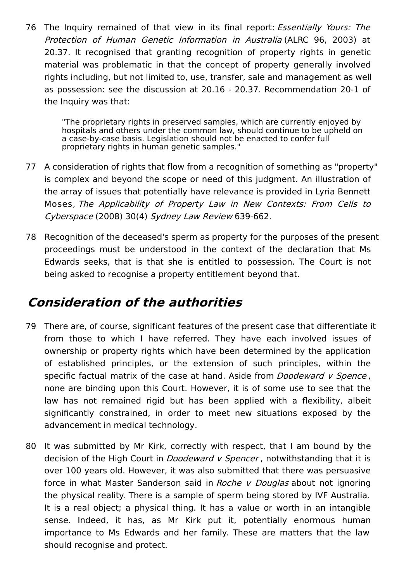76 The Inquiry remained of that view in its final report: *Essentially Yours: The* Protection of Human Genetic Information in Australia (ALRC 96, 2003) at 20.37. It recognised that granting recognition of property rights in genetic material was problematic in that the concept of property generally involved rights including, but not limited to, use, transfer, sale and management as well as possession: see the discussion at 20.16 - 20.37. Recommendation 20-1 of the Inquiry was that:

> "The proprietary rights in preserved samples, which are currently enjoyed by hospitals and others under the common law, should continue to be upheld on a case-by-case basis. Legislation should not be enacted to confer full proprietary rights in human genetic samples."

- 77 A consideration of rights that flow from a recognition of something as "property" is complex and beyond the scope or need of this judgment. An illustration of the array of issues that potentially have relevance is provided in Lyria Bennett Moses, The Applicability of Property Law in New Contexts: From Cells to Cyberspace (2008) 30(4) Sydney Law Review 639-662.
- 78 Recognition of the deceased's sperm as property for the purposes of the present proceedings must be understood in the context of the declaration that Ms Edwards seeks, that is that she is entitled to possession. The Court is not being asked to recognise a property entitlement beyond that.

### **Consideration of the authorities**

- 79 There are, of course, significant features of the present case that differentiate it from those to which I have referred. They have each involved issues of ownership or property rights which have been determined by the application of established principles, or the extension of such principles, within the specific factual matrix of the case at hand. Aside from *Doodeward v Spence*, none are binding upon this Court. However, it is of some use to see that the law has not remained rigid but has been applied with a flexibility, albeit significantly constrained, in order to meet new situations exposed by the advancement in medical technology.
- 80 It was submitted by Mr Kirk, correctly with respect, that I am bound by the decision of the High Court in *Doodeward v Spencer*, notwithstanding that it is over 100 years old. However, it was also submitted that there was persuasive force in what Master Sanderson said in Roche v Douglas about not ignoring the physical reality. There is a sample of sperm being stored by IVF Australia. It is a real object; a physical thing. It has a value or worth in an intangible sense. Indeed, it has, as Mr Kirk put it, potentially enormous human importance to Ms Edwards and her family. These are matters that the law should recognise and protect.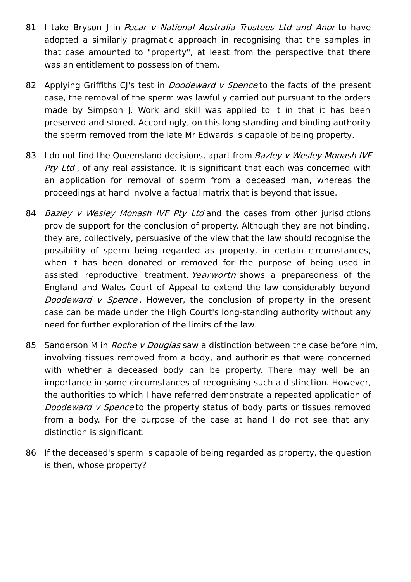- 81 I take Bryson J in Pecar v National Australia Trustees Ltd and Anor to have adopted a similarly pragmatic approach in recognising that the samples in that case amounted to "property", at least from the perspective that there was an entitlement to possession of them.
- 82 Applying Griffiths CJ's test in *Doodeward v Spence* to the facts of the present case, the removal of the sperm was lawfully carried out pursuant to the orders made by Simpson J. Work and skill was applied to it in that it has been preserved and stored. Accordingly, on this long standing and binding authority the sperm removed from the late Mr Edwards is capable of being property.
- 83 I do not find the Queensland decisions, apart from Bazley v Wesley Monash IVF Pty Ltd, of any real assistance. It is significant that each was concerned with an application for removal of sperm from a deceased man, whereas the proceedings at hand involve a factual matrix that is beyond that issue.
- 84 Bazley v Wesley Monash IVF Pty Ltd and the cases from other jurisdictions provide support for the conclusion of property. Although they are not binding, they are, collectively, persuasive of the view that the law should recognise the possibility of sperm being regarded as property, in certain circumstances, when it has been donated or removed for the purpose of being used in assisted reproductive treatment. Yearworth shows a preparedness of the England and Wales Court of Appeal to extend the law considerably beyond Doodeward v Spence. However, the conclusion of property in the present case can be made under the High Court's long-standing authority without any need for further exploration of the limits of the law.
- 85 Sanderson M in *Roche v Douglas* saw a distinction between the case before him, involving tissues removed from a body, and authorities that were concerned with whether a deceased body can be property. There may well be an importance in some circumstances of recognising such a distinction. However, the authorities to which I have referred demonstrate a repeated application of Doodeward v Spence to the property status of body parts or tissues removed from a body. For the purpose of the case at hand I do not see that any distinction is significant.
- 86 If the deceased's sperm is capable of being regarded as property, the question is then, whose property?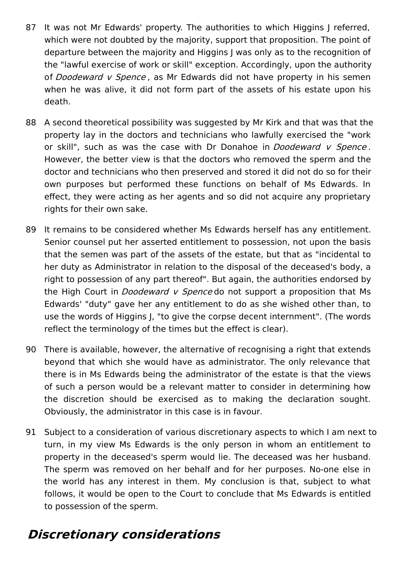- 87 It was not Mr Edwards' property. The authorities to which Higgins J referred, which were not doubted by the majority, support that proposition. The point of departure between the majority and Higgins J was only as to the recognition of the "lawful exercise of work or skill" exception. Accordingly, upon the authority of Doodeward v Spence, as Mr Edwards did not have property in his semen when he was alive, it did not form part of the assets of his estate upon his death.
- 88 A second theoretical possibility was suggested by Mr Kirk and that was that the property lay in the doctors and technicians who lawfully exercised the "work or skill", such as was the case with Dr Donahoe in *Doodeward v Spence*. However, the better view is that the doctors who removed the sperm and the doctor and technicians who then preserved and stored it did not do so for their own purposes but performed these functions on behalf of Ms Edwards. In effect, they were acting as her agents and so did not acquire any proprietary rights for their own sake.
- 89 It remains to be considered whether Ms Edwards herself has any entitlement. Senior counsel put her asserted entitlement to possession, not upon the basis that the semen was part of the assets of the estate, but that as "incidental to her duty as Administrator in relation to the disposal of the deceased's body, a right to possession of any part thereof". But again, the authorities endorsed by the High Court in *Doodeward v Spence* do not support a proposition that Ms Edwards' "duty" gave her any entitlement to do as she wished other than, to use the words of Higgins J, "to give the corpse decent internment". (The words reflect the terminology of the times but the effect is clear).
- 90 There is available, however, the alternative of recognising a right that extends beyond that which she would have as administrator. The only relevance that there is in Ms Edwards being the administrator of the estate is that the views of such a person would be a relevant matter to consider in determining how the discretion should be exercised as to making the declaration sought. Obviously, the administrator in this case is in favour.
- 91 Subject to a consideration of various discretionary aspects to which I am next to turn, in my view Ms Edwards is the only person in whom an entitlement to property in the deceased's sperm would lie. The deceased was her husband. The sperm was removed on her behalf and for her purposes. No-one else in the world has any interest in them. My conclusion is that, subject to what follows, it would be open to the Court to conclude that Ms Edwards is entitled to possession of the sperm.

### **Discretionary considerations**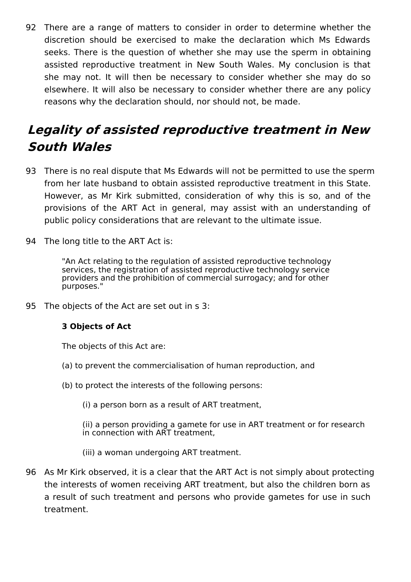92 There are a range of matters to consider in order to determine whether the discretion should be exercised to make the declaration which Ms Edwards seeks. There is the question of whether she may use the sperm in obtaining assisted reproductive treatment in New South Wales. My conclusion is that she may not. It will then be necessary to consider whether she may do so elsewhere. It will also be necessary to consider whether there are any policy reasons why the declaration should, nor should not, be made.

# **Legality of assisted reproductive treatment in New South Wales**

- 93 There is no real dispute that Ms Edwards will not be permitted to use the sperm from her late husband to obtain assisted reproductive treatment in this State. However, as Mr Kirk submitted, consideration of why this is so, and of the provisions of the ART Act in general, may assist with an understanding of public policy considerations that are relevant to the ultimate issue.
- 94 The long title to the ART Act is:

"An Act relating to the regulation of assisted reproductive technology services, the registration of assisted reproductive technology service providers and the prohibition of commercial surrogacy; and for other purposes."

95 The objects of the Act are set out in s 3:

### **3 Objects of Act**

The objects of this Act are:

- (a) to prevent the commercialisation of human reproduction, and
- (b) to protect the interests of the following persons:
	- (i) a person born as a result of ART treatment,

(ii) a person providing a gamete for use in ART treatment or for research in connection with ART treatment,

- (iii) a woman undergoing ART treatment.
- 96 As Mr Kirk observed, it is a clear that the ART Act is not simply about protecting the interests of women receiving ART treatment, but also the children born as a result of such treatment and persons who provide gametes for use in such treatment.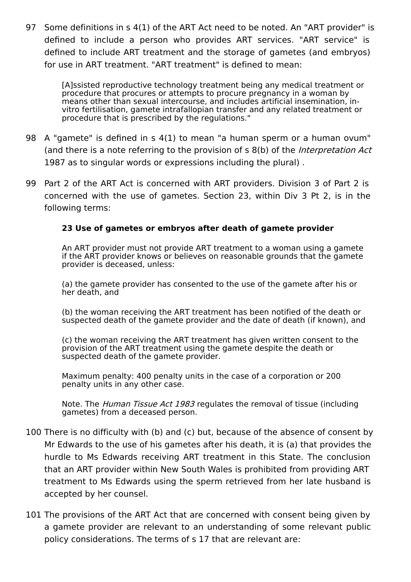97 Some definitions in s 4(1) of the ART Act need to be noted. An "ART provider" is defined to include a person who provides ART services. "ART service" is defined to include ART treatment and the storage of gametes (and embryos) for use in ART treatment. "ART treatment" is defined to mean:

> [A]ssisted reproductive technology treatment being any medical treatment or procedure that procures or attempts to procure pregnancy in a woman by means other than sexual intercourse, and includes artificial insemination, invitro fertilisation, gamete intrafallopian transfer and any related treatment or procedure that is prescribed by the regulations."

- 98 A "gamete" is defined in s 4(1) to mean "a human sperm or a human ovum" (and there is a note referring to the provision of s 8(b) of the *Interpretation Act* 1987 as to singular words or expressions including the plural) .
- 99 Part 2 of the ART Act is concerned with ART providers. Division 3 of Part 2 is concerned with the use of gametes. Section 23, within Div 3 Pt 2, is in the following terms:

### **23 Use of gametes or embryos after death of gamete provider**

An ART provider must not provide ART treatment to a woman using a gamete if the ART provider knows or believes on reasonable grounds that the gamete provider is deceased, unless:

(a) the gamete provider has consented to the use of the gamete after his or her death, and

(b) the woman receiving the ART treatment has been notified of the death or suspected death of the gamete provider and the date of death (if known), and

(c) the woman receiving the ART treatment has given written consent to the provision of the ART treatment using the gamete despite the death or suspected death of the gamete provider.

Maximum penalty: 400 penalty units in the case of a corporation or 200 penalty units in any other case.

Note. The *Human Tissue Act 1983* regulates the removal of tissue (including gametes) from a deceased person.

- 100 There is no difficulty with (b) and (c) but, because of the absence of consent by Mr Edwards to the use of his gametes after his death, it is (a) that provides the hurdle to Ms Edwards receiving ART treatment in this State. The conclusion that an ART provider within New South Wales is prohibited from providing ART treatment to Ms Edwards using the sperm retrieved from her late husband is accepted by her counsel.
- 101 The provisions of the ART Act that are concerned with consent being given by a gamete provider are relevant to an understanding of some relevant public policy considerations. The terms of s 17 that are relevant are: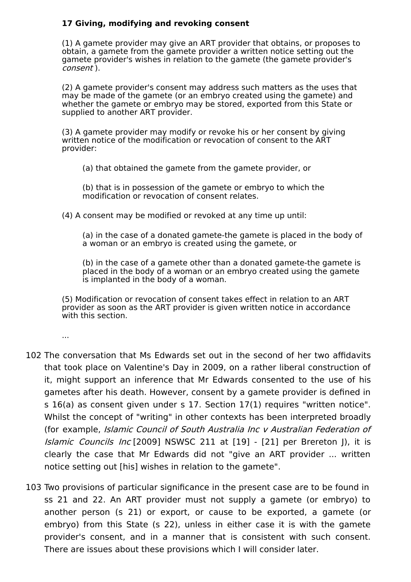### **17 Giving, modifying and revoking consent**

(1) A gamete provider may give an ART provider that obtains, or proposes to obtain, a gamete from the gamete provider a written notice setting out the gamete provider's wishes in relation to the gamete (the gamete provider's consent ).

(2) A gamete provider's consent may address such matters as the uses that may be made of the gamete (or an embryo created using the gamete) and whether the gamete or embryo may be stored, exported from this State or supplied to another ART provider.

(3) A gamete provider may modify or revoke his or her consent by giving written notice of the modification or revocation of consent to the ART provider:

(a) that obtained the gamete from the gamete provider, or

(b) that is in possession of the gamete or embryo to which the modification or revocation of consent relates.

(4) A consent may be modified or revoked at any time up until:

(a) in the case of a donated gamete-the gamete is placed in the body of a woman or an embryo is created using the gamete, or

(b) in the case of a gamete other than a donated gamete-the gamete is placed in the body of a woman or an embryo created using the gamete is implanted in the body of a woman.

(5) Modification or revocation of consent takes effect in relation to an ART provider as soon as the ART provider is given written notice in accordance with this section.

...

- 102 The conversation that Ms Edwards set out in the second of her two affidavits that took place on Valentine's Day in 2009, on a rather liberal construction of it, might support an inference that Mr Edwards consented to the use of his gametes after his death. However, consent by a gamete provider is defined in s 16(a) as consent given under s 17. Section 17(1) requires "written notice". Whilst the concept of "writing" in other contexts has been interpreted broadly (for example, Islamic Council of South Australia Inc <sup>v</sup> Australian Federation of Islamic Councils Inc [2009] NSWSC 211 at [19] - [21] per Brereton J), it is clearly the case that Mr Edwards did not "give an ART provider ... written notice setting out [his] wishes in relation to the gamete".
- 103 Two provisions of particular significance in the present case are to be found in ss 21 and 22. An ART provider must not supply a gamete (or embryo) to another person (s 21) or export, or cause to be exported, a gamete (or embryo) from this State (s 22), unless in either case it is with the gamete provider's consent, and in a manner that is consistent with such consent. There are issues about these provisions which I will consider later.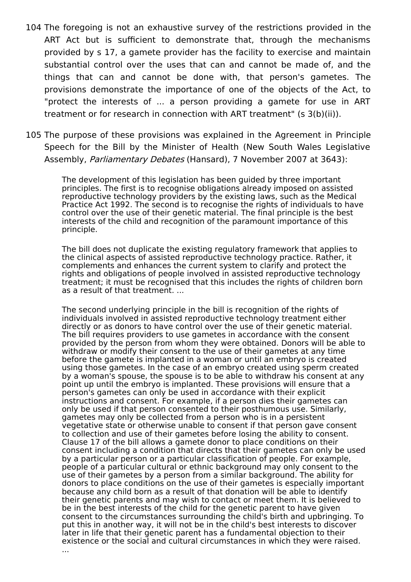- 104 The foregoing is not an exhaustive survey of the restrictions provided in the ART Act but is sufficient to demonstrate that, through the mechanisms provided by s 17, a gamete provider has the facility to exercise and maintain substantial control over the uses that can and cannot be made of, and the things that can and cannot be done with, that person's gametes. The provisions demonstrate the importance of one of the objects of the Act, to "protect the interests of ... a person providing a gamete for use in ART treatment or for research in connection with ART treatment" (s 3(b)(ii)).
- 105 The purpose of these provisions was explained in the Agreement in Principle Speech for the Bill by the Minister of Health (New South Wales Legislative Assembly, Parliamentary Debates (Hansard), 7 November 2007 at 3643):

The development of this legislation has been guided by three important principles. The first is to recognise obligations already imposed on assisted reproductive technology providers by the existing laws, such as the Medical Practice Act 1992. The second is to recognise the rights of individuals to have control over the use of their genetic material. The final principle is the best interests of the child and recognition of the paramount importance of this principle.

The bill does not duplicate the existing regulatory framework that applies to the clinical aspects of assisted reproductive technology practice. Rather, it complements and enhances the current system to clarify and protect the rights and obligations of people involved in assisted reproductive technology treatment; it must be recognised that this includes the rights of children born as a result of that treatment. ...

The second underlying principle in the bill is recognition of the rights of individuals involved in assisted reproductive technology treatment either directly or as donors to have control over the use of their genetic material. The bill requires providers to use gametes in accordance with the consent provided by the person from whom they were obtained. Donors will be able to withdraw or modify their consent to the use of their gametes at any time before the gamete is implanted in a woman or until an embryo is created using those gametes. In the case of an embryo created using sperm created by a woman's spouse, the spouse is to be able to withdraw his consent at any point up until the embryo is implanted. These provisions will ensure that a person's gametes can only be used in accordance with their explicit instructions and consent. For example, if a person dies their gametes can only be used if that person consented to their posthumous use. Similarly, gametes may only be collected from a person who is in a persistent vegetative state or otherwise unable to consent if that person gave consent to collection and use of their gametes before losing the ability to consent. Clause 17 of the bill allows a gamete donor to place conditions on their consent including a condition that directs that their gametes can only be used by a particular person or a particular classification of people. For example, people of a particular cultural or ethnic background may only consent to the use of their gametes by a person from a similar background. The ability for donors to place conditions on the use of their gametes is especially important because any child born as a result of that donation will be able to identify their genetic parents and may wish to contact or meet them. It is believed to be in the best interests of the child for the genetic parent to have given consent to the circumstances surrounding the child's birth and upbringing. To put this in another way, it will not be in the child's best interests to discover later in life that their genetic parent has a fundamental objection to their existence or the social and cultural circumstances in which they were raised.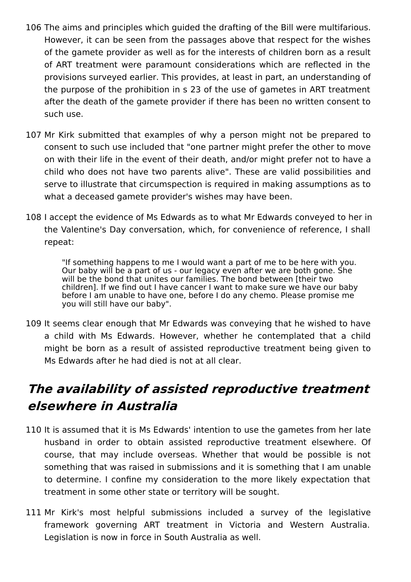- 106 The aims and principles which guided the drafting of the Bill were multifarious. However, it can be seen from the passages above that respect for the wishes of the gamete provider as well as for the interests of children born as a result of ART treatment were paramount considerations which are reflected in the provisions surveyed earlier. This provides, at least in part, an understanding of the purpose of the prohibition in s 23 of the use of gametes in ART treatment after the death of the gamete provider if there has been no written consent to such use.
- 107 Mr Kirk submitted that examples of why a person might not be prepared to consent to such use included that "one partner might prefer the other to move on with their life in the event of their death, and/or might prefer not to have a child who does not have two parents alive". These are valid possibilities and serve to illustrate that circumspection is required in making assumptions as to what a deceased gamete provider's wishes may have been.
- 108 I accept the evidence of Ms Edwards as to what Mr Edwards conveyed to her in the Valentine's Day conversation, which, for convenience of reference, I shall repeat:

"If something happens to me I would want a part of me to be here with you. Our baby will be a part of us - our legacy even after we are both gone. She will be the bond that unites our families. The bond between [their two children]. If we find out I have cancer I want to make sure we have our baby before I am unable to have one, before I do any chemo. Please promise me you will still have our baby".

109 It seems clear enough that Mr Edwards was conveying that he wished to have a child with Ms Edwards. However, whether he contemplated that a child might be born as a result of assisted reproductive treatment being given to Ms Edwards after he had died is not at all clear.

# **The availability of assisted reproductive treatment elsewhere in Australia**

- 110 It is assumed that it is Ms Edwards' intention to use the gametes from her late husband in order to obtain assisted reproductive treatment elsewhere. Of course, that may include overseas. Whether that would be possible is not something that was raised in submissions and it is something that I am unable to determine. I confine my consideration to the more likely expectation that treatment in some other state or territory will be sought.
- 111 Mr Kirk's most helpful submissions included a survey of the legislative framework governing ART treatment in Victoria and Western Australia. Legislation is now in force in South Australia as well.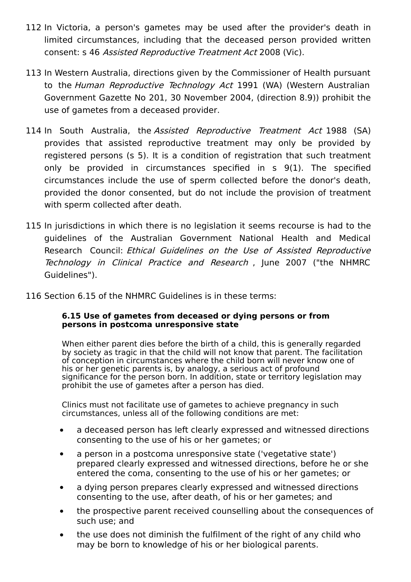- 112 In Victoria, a person's gametes may be used after the provider's death in limited circumstances, including that the deceased person provided written consent: s 46 Assisted Reproductive Treatment Act 2008 (Vic).
- 113 In Western Australia, directions given by the Commissioner of Health pursuant to the Human Reproductive Technology Act 1991 (WA) (Western Australian Government Gazette No 201, 30 November 2004, (direction 8.9)) prohibit the use of gametes from a deceased provider.
- 114 In South Australia, the Assisted Reproductive Treatment Act 1988 (SA) provides that assisted reproductive treatment may only be provided by registered persons (s 5). It is a condition of registration that such treatment only be provided in circumstances specified in s 9(1). The specified circumstances include the use of sperm collected before the donor's death, provided the donor consented, but do not include the provision of treatment with sperm collected after death.
- 115 In jurisdictions in which there is no legislation it seems recourse is had to the guidelines of the Australian Government National Health and Medical Research Council: Ethical Guidelines on the Use of Assisted Reproductive Technology in Clinical Practice and Research , June 2007 ("the NHMRC Guidelines").
- 116 Section 6.15 of the NHMRC Guidelines is in these terms:

#### **6.15 Use of gametes from deceased or dying persons or from persons in postcoma unresponsive state**

When either parent dies before the birth of a child, this is generally regarded by society as tragic in that the child will not know that parent. The facilitation of conception in circumstances where the child born will never know one of his or her genetic parents is, by analogy, a serious act of profound significance for the person born. In addition, state or territory legislation may prohibit the use of gametes after a person has died.

Clinics must not facilitate use of gametes to achieve pregnancy in such circumstances, unless all of the following conditions are met:

- a deceased person has left clearly expressed and witnessed directions consenting to the use of his or her gametes; or
- a person in a postcoma unresponsive state ('vegetative state') prepared clearly expressed and witnessed directions, before he or she entered the coma, consenting to the use of his or her gametes; or
- a dying person prepares clearly expressed and witnessed directions  $\bullet$ consenting to the use, after death, of his or her gametes; and
- the prospective parent received counselling about the consequences of  $\bullet$ such use; and
- the use does not diminish the fulfilment of the right of any child who  $\bullet$ may be born to knowledge of his or her biological parents.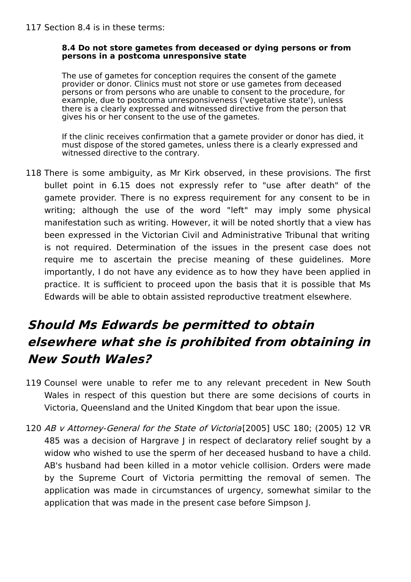#### **8.4 Do not store gametes from deceased or dying persons or from persons in a postcoma unresponsive state**

The use of gametes for conception requires the consent of the gamete provider or donor. Clinics must not store or use gametes from deceased persons or from persons who are unable to consent to the procedure, for example, due to postcoma unresponsiveness ('vegetative state'), unless there is a clearly expressed and witnessed directive from the person that gives his or her consent to the use of the gametes.

If the clinic receives confirmation that a gamete provider or donor has died, it must dispose of the stored gametes, unless there is a clearly expressed and witnessed directive to the contrary.

118 There is some ambiguity, as Mr Kirk observed, in these provisions. The first bullet point in 6.15 does not expressly refer to "use after death" of the gamete provider. There is no express requirement for any consent to be in writing; although the use of the word "left" may imply some physical manifestation such as writing. However, it will be noted shortly that a view has been expressed in the Victorian Civil and Administrative Tribunal that writing is not required. Determination of the issues in the present case does not require me to ascertain the precise meaning of these guidelines. More importantly, I do not have any evidence as to how they have been applied in practice. It is sufficient to proceed upon the basis that it is possible that Ms Edwards will be able to obtain assisted reproductive treatment elsewhere.

# **Should Ms Edwards be permitted to obtain elsewhere what she is prohibited from obtaining in New South Wales?**

- 119 Counsel were unable to refer me to any relevant precedent in New South Wales in respect of this question but there are some decisions of courts in Victoria, Queensland and the United Kingdom that bear upon the issue.
- 120 AB v Attorney-General for the State of Victoria[2005] USC 180; (2005) 12 VR 485 was a decision of Hargrave J in respect of declaratory relief sought by a widow who wished to use the sperm of her deceased husband to have a child. AB's husband had been killed in a motor vehicle collision. Orders were made by the Supreme Court of Victoria permitting the removal of semen. The application was made in circumstances of urgency, somewhat similar to the application that was made in the present case before Simpson J.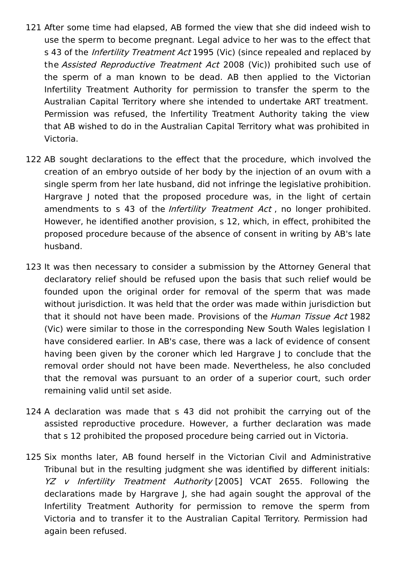- 121 After some time had elapsed, AB formed the view that she did indeed wish to use the sperm to become pregnant. Legal advice to her was to the effect that s 43 of the *Infertility Treatment Act* 1995 (Vic) (since repealed and replaced by the Assisted Reproductive Treatment Act 2008 (Vic)) prohibited such use of the sperm of a man known to be dead. AB then applied to the Victorian Infertility Treatment Authority for permission to transfer the sperm to the Australian Capital Territory where she intended to undertake ART treatment. Permission was refused, the Infertility Treatment Authority taking the view that AB wished to do in the Australian Capital Territory what was prohibited in Victoria.
- 122 AB sought declarations to the effect that the procedure, which involved the creation of an embryo outside of her body by the injection of an ovum with a single sperm from her late husband, did not infringe the legislative prohibition. Hargrave J noted that the proposed procedure was, in the light of certain amendments to s 43 of the *Infertility Treatment Act*, no longer prohibited. However, he identified another provision, s 12, which, in effect, prohibited the proposed procedure because of the absence of consent in writing by AB's late husband.
- 123 It was then necessary to consider a submission by the Attorney General that declaratory relief should be refused upon the basis that such relief would be founded upon the original order for removal of the sperm that was made without jurisdiction. It was held that the order was made within jurisdiction but that it should not have been made. Provisions of the *Human Tissue Act* 1982 (Vic) were similar to those in the corresponding New South Wales legislation I have considered earlier. In AB's case, there was a lack of evidence of consent having been given by the coroner which led Hargrave J to conclude that the removal order should not have been made. Nevertheless, he also concluded that the removal was pursuant to an order of a superior court, such order remaining valid until set aside.
- 124 A declaration was made that s 43 did not prohibit the carrying out of the assisted reproductive procedure. However, a further declaration was made that s 12 prohibited the proposed procedure being carried out in Victoria.
- 125 Six months later, AB found herself in the Victorian Civil and Administrative Tribunal but in the resulting judgment she was identified by different initials: YZ v Infertility Treatment Authority [2005] VCAT 2655. Following the declarations made by Hargrave J, she had again sought the approval of the Infertility Treatment Authority for permission to remove the sperm from Victoria and to transfer it to the Australian Capital Territory. Permission had again been refused.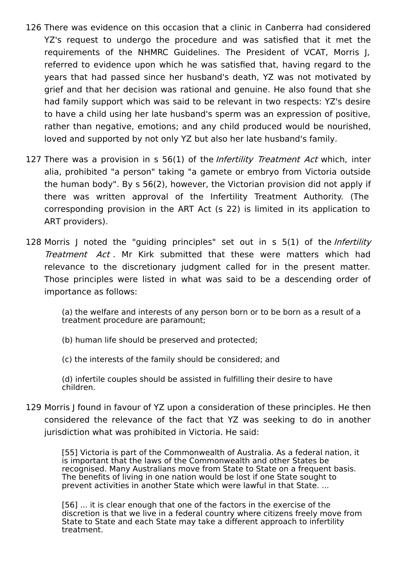- 126 There was evidence on this occasion that a clinic in Canberra had considered YZ's request to undergo the procedure and was satisfied that it met the requirements of the NHMRC Guidelines. The President of VCAT, Morris J, referred to evidence upon which he was satisfied that, having regard to the years that had passed since her husband's death, YZ was not motivated by grief and that her decision was rational and genuine. He also found that she had family support which was said to be relevant in two respects: YZ's desire to have a child using her late husband's sperm was an expression of positive, rather than negative, emotions; and any child produced would be nourished, loved and supported by not only YZ but also her late husband's family.
- 127 There was a provision in s 56(1) of the *Infertility Treatment Act* which, inter alia, prohibited "a person" taking "a gamete or embryo from Victoria outside the human body". By s 56(2), however, the Victorian provision did not apply if there was written approval of the Infertility Treatment Authority. (The corresponding provision in the ART Act (s 22) is limited in its application to ART providers).
- 128 Morris J noted the "guiding principles" set out in s 5(1) of the *Infertility* Treatment Act. Mr Kirk submitted that these were matters which had relevance to the discretionary judgment called for in the present matter. Those principles were listed in what was said to be a descending order of importance as follows:

(a) the welfare and interests of any person born or to be born as a result of a treatment procedure are paramount;

(b) human life should be preserved and protected;

(c) the interests of the family should be considered; and

(d) infertile couples should be assisted in fulfilling their desire to have children.

129 Morris J found in favour of YZ upon a consideration of these principles. He then considered the relevance of the fact that YZ was seeking to do in another jurisdiction what was prohibited in Victoria. He said:

> [55] Victoria is part of the Commonwealth of Australia. As a federal nation, it is important that the laws of the Commonwealth and other States be recognised. Many Australians move from State to State on a frequent basis. The benefits of living in one nation would be lost if one State sought to prevent activities in another State which were lawful in that State. ...

> [56] ... it is clear enough that one of the factors in the exercise of the discretion is that we live in a federal country where citizens freely move from State to State and each State may take a different approach to infertility treatment.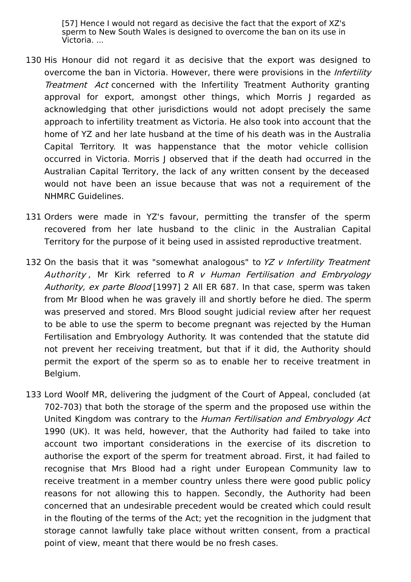[57] Hence I would not regard as decisive the fact that the export of XZ's sperm to New South Wales is designed to overcome the ban on its use in Victoria. ...

- 130 His Honour did not regard it as decisive that the export was designed to overcome the ban in Victoria. However, there were provisions in the *Infertility* Treatment Act concerned with the Infertility Treatment Authority granting approval for export, amongst other things, which Morris J regarded as acknowledging that other jurisdictions would not adopt precisely the same approach to infertility treatment as Victoria. He also took into account that the home of YZ and her late husband at the time of his death was in the Australia Capital Territory. It was happenstance that the motor vehicle collision occurred in Victoria. Morris J observed that if the death had occurred in the Australian Capital Territory, the lack of any written consent by the deceased would not have been an issue because that was not a requirement of the NHMRC Guidelines.
- 131 Orders were made in YZ's favour, permitting the transfer of the sperm recovered from her late husband to the clinic in the Australian Capital Territory for the purpose of it being used in assisted reproductive treatment.
- 132 On the basis that it was "somewhat analogous" to YZ v Infertility Treatment Authority, Mr Kirk referred to  $R$  v Human Fertilisation and Embryology Authority, ex parte Blood [1997] 2 All ER 687. In that case, sperm was taken from Mr Blood when he was gravely ill and shortly before he died. The sperm was preserved and stored. Mrs Blood sought judicial review after her request to be able to use the sperm to become pregnant was rejected by the Human Fertilisation and Embryology Authority. It was contended that the statute did not prevent her receiving treatment, but that if it did, the Authority should permit the export of the sperm so as to enable her to receive treatment in Belgium.
- 133 Lord Woolf MR, delivering the judgment of the Court of Appeal, concluded (at 702-703) that both the storage of the sperm and the proposed use within the United Kingdom was contrary to the Human Fertilisation and Embryology Act 1990 (UK). It was held, however, that the Authority had failed to take into account two important considerations in the exercise of its discretion to authorise the export of the sperm for treatment abroad. First, it had failed to recognise that Mrs Blood had a right under European Community law to receive treatment in a member country unless there were good public policy reasons for not allowing this to happen. Secondly, the Authority had been concerned that an undesirable precedent would be created which could result in the flouting of the terms of the Act; yet the recognition in the judgment that storage cannot lawfully take place without written consent, from a practical point of view, meant that there would be no fresh cases.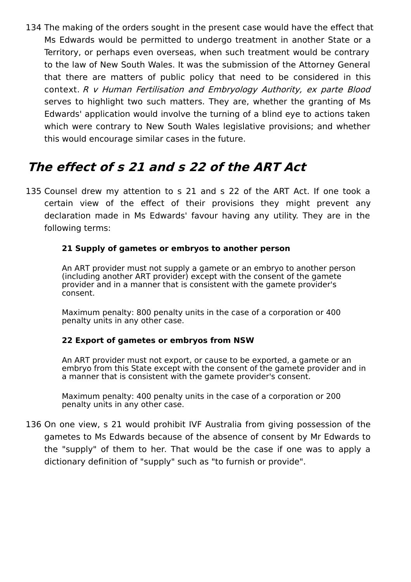134 The making of the orders sought in the present case would have the effect that Ms Edwards would be permitted to undergo treatment in another State or a Territory, or perhaps even overseas, when such treatment would be contrary to the law of New South Wales. It was the submission of the Attorney General that there are matters of public policy that need to be considered in this context. R <sup>v</sup> Human Fertilisation and Embryology Authority, ex parte Blood serves to highlight two such matters. They are, whether the granting of Ms Edwards' application would involve the turning of a blind eye to actions taken which were contrary to New South Wales legislative provisions; and whether this would encourage similar cases in the future.

## **The effect of s 21 and s 22 of the ART Act**

135 Counsel drew my attention to s 21 and s 22 of the ART Act. If one took a certain view of the effect of their provisions they might prevent any declaration made in Ms Edwards' favour having any utility. They are in the following terms:

### **21 Supply of gametes or embryos to another person**

An ART provider must not supply a gamete or an embryo to another person (including another ART provider) except with the consent of the gamete provider and in a manner that is consistent with the gamete provider's consent.

Maximum penalty: 800 penalty units in the case of a corporation or 400 penalty units in any other case.

### **22 Export of gametes or embryos from NSW**

An ART provider must not export, or cause to be exported, a gamete or an embryo from this State except with the consent of the gamete provider and in a manner that is consistent with the gamete provider's consent.

Maximum penalty: 400 penalty units in the case of a corporation or 200 penalty units in any other case.

136 On one view, s 21 would prohibit IVF Australia from giving possession of the gametes to Ms Edwards because of the absence of consent by Mr Edwards to the "supply" of them to her. That would be the case if one was to apply a dictionary definition of "supply" such as "to furnish or provide".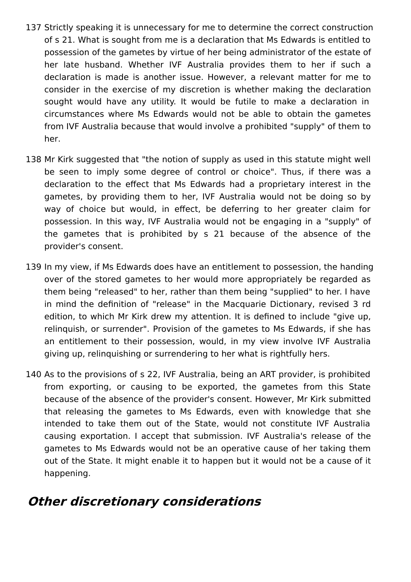- 137 Strictly speaking it is unnecessary for me to determine the correct construction of s 21. What is sought from me is a declaration that Ms Edwards is entitled to possession of the gametes by virtue of her being administrator of the estate of her late husband. Whether IVF Australia provides them to her if such a declaration is made is another issue. However, a relevant matter for me to consider in the exercise of my discretion is whether making the declaration sought would have any utility. It would be futile to make a declaration in circumstances where Ms Edwards would not be able to obtain the gametes from IVF Australia because that would involve a prohibited "supply" of them to her.
- 138 Mr Kirk suggested that "the notion of supply as used in this statute might well be seen to imply some degree of control or choice". Thus, if there was a declaration to the effect that Ms Edwards had a proprietary interest in the gametes, by providing them to her, IVF Australia would not be doing so by way of choice but would, in effect, be deferring to her greater claim for possession. In this way, IVF Australia would not be engaging in a "supply" of the gametes that is prohibited by s 21 because of the absence of the provider's consent.
- 139 In my view, if Ms Edwards does have an entitlement to possession, the handing over of the stored gametes to her would more appropriately be regarded as them being "released" to her, rather than them being "supplied" to her. I have in mind the definition of "release" in the Macquarie Dictionary, revised 3 rd edition, to which Mr Kirk drew my attention. It is defined to include "give up, relinquish, or surrender". Provision of the gametes to Ms Edwards, if she has an entitlement to their possession, would, in my view involve IVF Australia giving up, relinquishing or surrendering to her what is rightfully hers.
- 140 As to the provisions of s 22, IVF Australia, being an ART provider, is prohibited from exporting, or causing to be exported, the gametes from this State because of the absence of the provider's consent. However, Mr Kirk submitted that releasing the gametes to Ms Edwards, even with knowledge that she intended to take them out of the State, would not constitute IVF Australia causing exportation. I accept that submission. IVF Australia's release of the gametes to Ms Edwards would not be an operative cause of her taking them out of the State. It might enable it to happen but it would not be a cause of it happening.

### **Other discretionary considerations**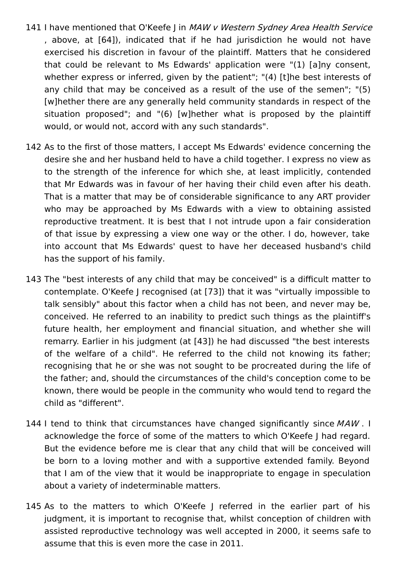- 141 I have mentioned that O'Keefe J in MAW v Western Sydney Area Health Service , above, at [64]), indicated that if he had jurisdiction he would not have exercised his discretion in favour of the plaintiff. Matters that he considered that could be relevant to Ms Edwards' application were "(1) [a]ny consent, whether express or inferred, given by the patient"; "(4) [t]he best interests of any child that may be conceived as a result of the use of the semen"; "(5) [w]hether there are any generally held community standards in respect of the situation proposed"; and "(6) [w]hether what is proposed by the plaintiff would, or would not, accord with any such standards".
- 142 As to the first of those matters, I accept Ms Edwards' evidence concerning the desire she and her husband held to have a child together. I express no view as to the strength of the inference for which she, at least implicitly, contended that Mr Edwards was in favour of her having their child even after his death. That is a matter that may be of considerable significance to any ART provider who may be approached by Ms Edwards with a view to obtaining assisted reproductive treatment. It is best that I not intrude upon a fair consideration of that issue by expressing a view one way or the other. I do, however, take into account that Ms Edwards' quest to have her deceased husband's child has the support of his family.
- 143 The "best interests of any child that may be conceived" is a difficult matter to contemplate. O'Keefe J recognised (at [73]) that it was "virtually impossible to talk sensibly" about this factor when a child has not been, and never may be, conceived. He referred to an inability to predict such things as the plaintiff's future health, her employment and financial situation, and whether she will remarry. Earlier in his judgment (at [43]) he had discussed "the best interests of the welfare of a child". He referred to the child not knowing its father; recognising that he or she was not sought to be procreated during the life of the father; and, should the circumstances of the child's conception come to be known, there would be people in the community who would tend to regard the child as "different".
- 144 I tend to think that circumstances have changed significantly since MAW. I acknowledge the force of some of the matters to which O'Keefe J had regard. But the evidence before me is clear that any child that will be conceived will be born to a loving mother and with a supportive extended family. Beyond that I am of the view that it would be inappropriate to engage in speculation about a variety of indeterminable matters.
- 145 As to the matters to which O'Keefe J referred in the earlier part of his judgment, it is important to recognise that, whilst conception of children with assisted reproductive technology was well accepted in 2000, it seems safe to assume that this is even more the case in 2011.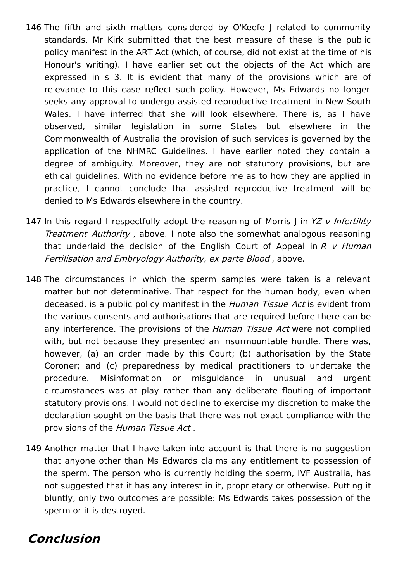- 146 The fifth and sixth matters considered by O'Keefe J related to community standards. Mr Kirk submitted that the best measure of these is the public policy manifest in the ART Act (which, of course, did not exist at the time of his Honour's writing). I have earlier set out the objects of the Act which are expressed in s 3. It is evident that many of the provisions which are of relevance to this case reflect such policy. However, Ms Edwards no longer seeks any approval to undergo assisted reproductive treatment in New South Wales. I have inferred that she will look elsewhere. There is, as I have observed, similar legislation in some States but elsewhere in the Commonwealth of Australia the provision of such services is governed by the application of the NHMRC Guidelines. I have earlier noted they contain a degree of ambiguity. Moreover, they are not statutory provisions, but are ethical guidelines. With no evidence before me as to how they are applied in practice, I cannot conclude that assisted reproductive treatment will be denied to Ms Edwards elsewhere in the country.
- 147 In this regard I respectfully adopt the reasoning of Morris J in YZ v Infertility Treatment Authority , above. I note also the somewhat analogous reasoning that underlaid the decision of the English Court of Appeal in  $R$  v Human Fertilisation and Embryology Authority, ex parte Blood, above.
- 148 The circumstances in which the sperm samples were taken is a relevant matter but not determinative. That respect for the human body, even when deceased, is a public policy manifest in the *Human Tissue Act* is evident from the various consents and authorisations that are required before there can be any interference. The provisions of the *Human Tissue Act* were not complied with, but not because they presented an insurmountable hurdle. There was, however, (a) an order made by this Court; (b) authorisation by the State Coroner; and (c) preparedness by medical practitioners to undertake the procedure. Misinformation or misguidance in unusual and urgent circumstances was at play rather than any deliberate flouting of important statutory provisions. I would not decline to exercise my discretion to make the declaration sought on the basis that there was not exact compliance with the provisions of the Human Tissue Act.
- 149 Another matter that I have taken into account is that there is no suggestion that anyone other than Ms Edwards claims any entitlement to possession of the sperm. The person who is currently holding the sperm, IVF Australia, has not suggested that it has any interest in it, proprietary or otherwise. Putting it bluntly, only two outcomes are possible: Ms Edwards takes possession of the sperm or it is destroyed.

### **Conclusion**